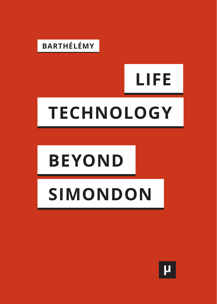

# **LIFE TECHNOLOGY**

## **BEYOND**

## **SIMONDON**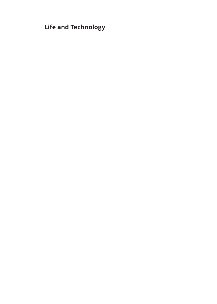**Life and Technology**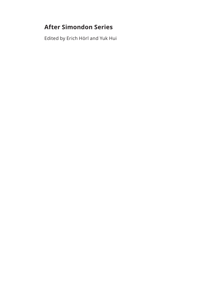#### **After Simondon Series**

Edited by Erich Hörl and Yuk Hui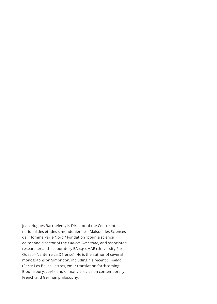Jean-Hugues Barthélémy is Director of the Centre international des études simondoniennes (Maison des Sciences de l'Homme Paris-Nord / Fondation "pour la science"), editor and director of the *Cahiers Simondon*, and associated researcher at the laboratory EA 4414 HAR (University Paris Ouest—Nanterre La Défense). He is the author of several monographs on Simondon, including his recent *Simondon* (Paris: Les Belles Lettres, 2014; translation forthcoming: Bloomsbury, 2016), and of many articles on contemporary French and German philosophy.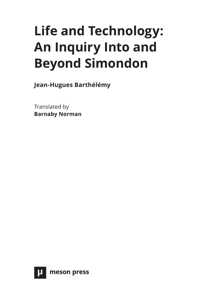### **Life and Technology: An Inquiry Into and Beyond Simondon**

**Jean-Hugues Barthélémy**

Translated by **Barnaby Norman**

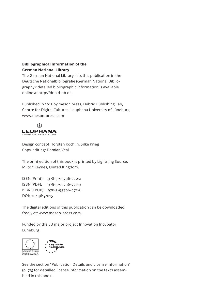#### **Bibliographical Information of the German National Library**

The German National Library lists this publication in the Deutsche Nationalbibliografie (German National Bibliography); detailed bibliographic information is available online at http://dnb.d-nb.de.

Published in 2015 by meson press, Hybrid Publishing Lab, Centre for Digital Cultures, Leuphana University of Lüneburg www.meson-press.com



Design concept: Torsten Köchlin, Silke Krieg Copy-editing: Damian Veal

The print edition of this book is printed by Lightning Source, Milton Keynes, United Kingdom.

ISBN (Print): 978-3-95796-070-2 ISBN (PDF): 978-3-95796-071-9 ISBN (EPUB): 978-3-95796-072-6 DOI: 10.14619/015

The digital editions of this publication can be downloaded freely at: www.meson-press.com.

Funded by the EU major project Innovation Incubator Lüneburg



See the section "Publication Details and License Information" (p. 73) for detailled license information on the texts assembled in this book.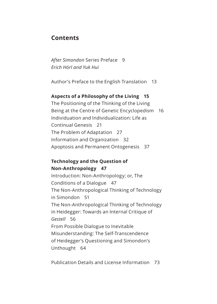#### **Contents**

*After Simondon* Series Preface 9 *[Erich Hörl and Yuk Hui](#page-10-0)* 

[Author's Preface to the English Translation 13](#page-14-0)

#### **[Aspects of a Philosophy of the Living 15](#page-16-0)**

The Positioning of the Thinking of the Living Being at the Centre of Genetic Encyclopedism 16 Individuation and Individualization: Life as Continual Genesis 21 The Problem of Adaptation 27 Information and Organization 32 Apoptosis and Permanent Ontogenesis 37

#### **[Technology and the Question of](#page-48-0)  Non-Anthropology 47**

Introduction: Non-Anthropology; or, The Conditions of a Dialogue 47 The Non-Anthropological Thinking of Technology in Simondon 51 The Non-Anthropological Thinking of Technology in Heidegger: Towards an Internal Critique of *Gestell* 56 From Possible Dialogue to Inevitable Misunderstanding: The Self-Transcendence of Heidegger's Questioning and Simondon's Unthought 64

[Publication Details and License Information 73](#page-74-0)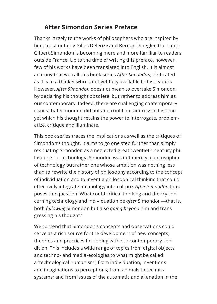#### **After Simondon Series Preface**

<span id="page-10-0"></span>Thanks largely to the works of philosophers who are inspired by him, most notably Gilles Deleuze and Bernard Stiegler, the name Gilbert Simondon is becoming more and more familiar to readers outside France. Up to the time of writing this preface, however, few of his works have been translated into English. It is almost an irony that we call this book series *After Simondon*, dedicated as it is to a thinker who is not yet fully available to his readers. However, *After Simondon* does not mean to overtake Simondon by declaring his thought obsolete, but rather to address him as our contemporary. Indeed, there are challenging contemporary issues that Simondon did not and could not address in his time, yet which his thought retains the power to interrogate, problematize, critique and illuminate.

This book series traces the implications as well as the critiques of Simondon's thought. It aims to go one step further than simply resituating Simondon as a neglected great twentieth-century philosopher of technology. Simondon was not merely a philosopher of technology but rather one whose ambition was nothing less than to rewrite the history of philosophy according to the concept of individuation and to invent a philosophical thinking that could effectively integrate technology into culture. *After Simondon* thus poses the question: What could critical thinking and theory concerning technology and individuation be *after* Simondon—that is, both *following* Simondon but also *going beyond* him and transgressing his thought?

We contend that Simondon's concepts and observations could serve as a rich source for the development of new concepts, theories and practices for coping with our contemporary condition. This includes a wide range of topics from digital objects and techno- and media-ecologies to what might be called a 'technological humanism'; from individuation, inventions and imaginations to perceptions; from animals to technical systems; and from issues of the automatic and alienation in the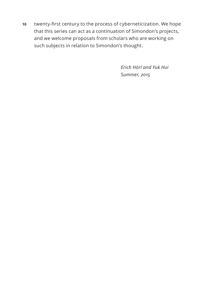**10** twenty-first century to the process of cyberneticization. We hope that this series can act as a continuation of Simondon's projects, and we welcome proposals from scholars who are working on such subjects in relation to Simondon's thought.

> *Erich Hörl and Yuk Hui Summer, 2015*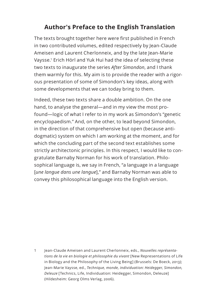#### **Author's Preface to the English Translation**

<span id="page-14-0"></span>The texts brought together here were first published in French in two contributed volumes, edited respectively by Jean-Claude Ameisen and Laurent Cherlonneix, and by the late Jean-Marie Vaysse.<sup>1</sup> Erich Hörl and Yuk Hui had the idea of selecting these two texts to inaugurate the series *After Simondon*, and I thank them warmly for this. My aim is to provide the reader with a rigorous presentation of some of Simondon's key ideas, along with some developments that we can today bring to them.

Indeed, these two texts share a double ambition. On the one hand, to analyse the general—and in my view the most profound—logic of what I refer to in my work as Simondon's "genetic encyclopaedism." And, on the other, to lead beyond Simondon, in the direction of that comprehensive but open (because antidogmatic) system on which I am working at the moment, and for which the concluding part of the second text establishes some strictly architectonic principles. In this respect, I would like to congratulate Barnaby Norman for his work of translation. Philosophical language is, we say in French, "a language in a language [*une langue dans une langue*]," and Barnaby Norman was able to convey this philosophical language into the English version.

1 Jean-Claude Ameisen and Laurent Cherlonneix, eds., *Nouvelles représentations de la vie en biologie et philosophie du vivant* [New Representations of Life in Biology and the Philosophy of the Living Being] (Brussels: De Boeck, 2013); Jean-Marie Vaysse, ed., *Technique, monde, individuation: Heidegger, Simondon, Deleuze* [Technics, Life, Individuation: Heidegger, Simondon, Deleuze] (Hildesheim: Georg Olms Verlag, 2006).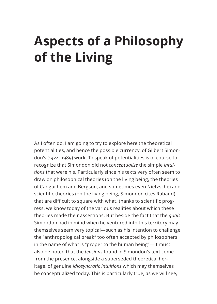### <span id="page-16-0"></span>**Aspects of a Philosophy of the Living**

As I often do, I am going to try to explore here the theoretical potentialities, and hence the possible currency, of Gilbert Simondon's (1924–1989) work. To speak of potentialities is of course to recognize that Simondon did not *conceptualize* the simple *intuitions* that were his. Particularly since his texts very often seem to draw on philosophical theories (on the living being, the theories of Canguilhem and Bergson, and sometimes even Nietzsche) and scientific theories (on the living being, Simondon cites Rabaud) that are difficult to square with what, thanks to scientific progress, we know today of the various realities about which these theories made their assertions. But beside the fact that the *goals* Simondon had in mind when he ventured into this territory may themselves seem very topical—such as his intention to challenge the "anthropological break" too often accepted by philosophers in the name of what is "proper to the human being"—it must also be noted that the *tensions* found in Simondon's text come from the presence, alongside a superseded theoretical heritage, of genuine *idiosyncratic intuitions* which may themselves be conceptualized today. This is particularly true, as we will see,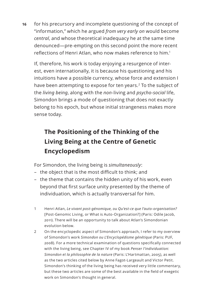**16** for his precursory and incomplete questioning of the concept of "information," which he argued *from very early on* would become *central*, and whose theoretical inadequacy he at the same time denounced—pre-empting on this second point the more recent reflections of Henri Atlan, who now makes reference to him.1

If, therefore, his work is today enjoying a resurgence of interest, even internationally, it is because his questioning and his intuitions have a possible currency, whose force and extension I have been attempting to expose for ten years.<sup>2</sup> To the subject of the *living being*, along with the *non*-living and *psycho-social* life, Simondon brings a mode of questioning that does not exactly belong to his epoch, but whose initial strangeness makes more sense today.

#### **The Positioning of the Thinking of the Living Being at the Centre of Genetic Encyclopedism**

For Simondon, the living being is *simultaneously*:

- the object that is the most difficult to think; and
- the theme that contains the hidden unity of his work, even beyond that first surface unity presented by the theme of individuation, which is actually transversal for him.
- 1 Henri Atlan, *Le vivant post-génomique, ou Qu'est-ce que l'auto-organisation?* [Post-Genomic Living, or What is Auto-Organization?] (Paris: Odile Jacob, 2011). There will be an opportunity to talk about Atlan's Simondonian evolution below.
- 2 On the encyclopedic aspect of Simondon's approach, I refer to my overview of Simondon's work *Simondon ou L'Encyclopédisme génétique* (Paris: PUF, 2008). For a more technical examination of questions specifically connected with the living being, see Chapter IV of my book *Penser l'individuation: Simondon et la philosophie de la nature* (Paris: L'Hartmattan, 2005), as well as the two articles cited below by Anne Fagot-Largeault and Victor Petit. Simondon's thinking of the living being has received very little commentary, but these two articles are some of the best available in the field of exegetic work on Simondon's thought in general.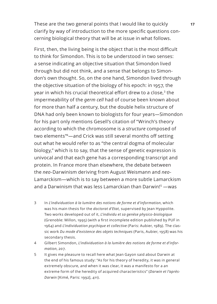These are the two general points that I would like to quickly **17** clarify by way of introduction to the more specific questions concerning biological theory that will be at issue in what follows.

First, then, the living being is the object that is the most difficult to think for Simondon. This is to be understood in two senses: a sense indicating an objective situation that Simondon lived through but did not think, and a sense that belongs to Simondon's own thought. So, on the one hand, Simondon lived through the objective situation of the biology of his epoch: in 1957, the year in which his crucial theoretical effort drew to a close,<sup>3</sup> the impermeability of the *germ cell* had of course been known about for more than half a century, but the double helix structure of DNA had only been known to biologists for four years—Simondon for his part only mentions Gesell's citation of "Wrinch's theory according to which the chromosome is a *structure* composed of two elements"4—and Crick was still several months off setting out what he would refer to as "the central dogma of molecular biology," which is to say, that the sense of genetic expression is univocal and that each gene has a corresponding transcript and protein. In France more than elsewhere, the debate between the *neo*-Darwinism deriving from August Weismann and *neo*-Lamarckism—which is to say between a more subtle Lamarckism and a Darwinism that was less Lamarckian than Darwin!<sup>5</sup> —was

- 3 In *L'individuation à la lumière des notions de forme et d'information*, which was his main thesis for the *doctorat d'Etat*, supervised by Jean Hyppolite. Two works developed out of it, *L'individu et sa genèse physico-biologique*  (Grenoble: Millon, 1995) (with a first incomplete edition published by PUF in 1964) and *L'individuation psychique et collective* (Paris: Aubier, 1989). The classic work *Du mode d'existence des objets techniques* (Paris, Aubier, 1958) was his secondary thesis.
- 4 Gilbert Simondon, *L'individuation à la lumière des notions de forme et d'information*, 207.
- 5 It gives me pleasure to recall here what Jean Gayon said about Darwin at the end of his famous study: "As for his theory of heredity, it was in general extremely obscure, and when it was clear, it was a manifesto for a an extreme form of the heredity of acquired characteristics" (*Darwin et l'après-Darwin* [Kimé, Paris: 1992], 411).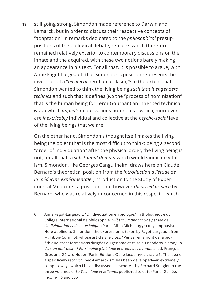**18** still going strong. Simondon made reference to Darwin and Lamarck, but in order to discuss their respective concepts of "adaptation" in remarks dedicated to the *philosophical* presuppositions of the biological debate, remarks which therefore remained relatively exterior to contemporary discussions on the innate and the acquired, with these two notions barely making an appearance in his text. For all that, it is possible to argue, with Anne Fagot-Largeault, that Simondon's position represents the invention of a "*technical* neo-Lamarckism,"6 to the extent that Simondon wanted to think the living being *such that it engenders technics* and such that it defines (*via* the "process of hominization" that is the human being for Leroi-Gourhan) an inherited technical *world* which *appeals to* our various potentials—which, moreover, are *inextricably* individual and collective at the *psycho-social* level of the living beings that we are.

On the other hand, Simondon's thought itself makes the living being the object that is the most difficult to think: being a second "order of individuation" after the physical order, the living being is not, for all that, a *substantial domain* which would vindicate vitalism. Simondon, like Georges Canguilheim, draws here on Claude Bernard's theoretical position from the *Introduction à l'étude de la médecine expérimentale* [Introduction to the Study of Experimental Medicine], a position—not however *theorized as such* by Bernard, who was relatively unconcerned in this respect—which

6 Anne Fagot-Largeault, "L'Individuation en biologie," in Bibliothèque du Collège international de philosophie, *Gilbert Simondon: Une pensée de l'individuation et de la technique* (Paris: Albin Michel, 1994) (my emphasis). Here applied to Simondon, the expression is taken by Fagot-Largeault from M. Tibon-Cornillot, whose article she cites, "Penser en amont de la bioéthique: transformations dirigées du génome et crise du néodarwinisme," in *Vers un anti-destin? Patrimoine génétique et droits de l'humanité*, ed. François Gros and Gérard Huber (Paris: Editions Odile Jacob, 1992), 127–46. The idea of a specifically *technical* neo-Lamarckism has been developed—in extremely complex ways which I have discussed elsewhere—by Bernard Stiegler in the three volumes of *La Technique et le Temps* published to date (Paris: Galilée, 1994, 1996 and 2001).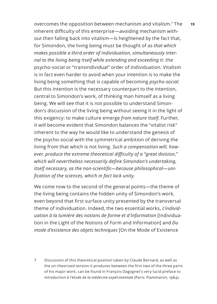overcomes the opposition between mechanism and vitalism.<sup>7</sup> The 19 inherent difficulty of this enterprise—avoiding mechanism without then falling back into vitalism—is heightened by the fact that, for Simondon, the living being must be thought of as *that which makes possible a third order of individuation, simultaneously internal to the living being itself while extending and exceeding it*: the psycho-social or "transindividual" order of individuation. Vitalism is in fact even harder to avoid when your intention is to make the living being something that is capable of becoming *psycho-social*. But this intention is the necessary counterpart to the intention, central to Simondon's work, of thinking man himself as a living being. We will see that it is not possible to understand Simondon's discussion of the living being without seeing it in the light of this exigency: to make culture emerge *from nature itself*. Further, it will become evident that Simondon balances the "vitalist risk" inherent to the way he would like to understand the genesis of the psycho-social with the symmetrical ambition of deriving the living from that which is not living. *Such a compensation will, however, produce the extreme theoretical difficulty of a "great division," which will nevertheless necessarily define Simondon's undertaking, itself necessary, as the non-scientific—because philosophical—unification of the sciences, which in fact lack unity.*

We come now to the second of the general points—the theme of the living being contains the hidden unity of Simondon's work, even beyond that first surface unity presented by the transversal theme of individuation. Indeed, the two essential works, *L'individuation à la lumière des notions de forme et d'information* [Individuation in the Light of the Notions of Form and Information] and *Du mode d'existence des objets techniques* [On the Mode of Existence

7 Discussion of this theoretical position taken by Claude Bernard, as well as the un-theorized tension it produces between the first two of the three parts of his major work, can be found in François Dagognet's very lucid preface to *Introduction à l'étude de la médecine expérimentale* (Paris: Flammaron, 1984).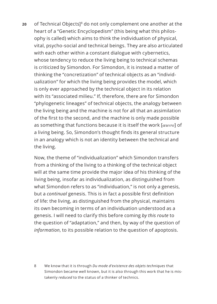**20** of Technical Objects]8 do not only complement one another at the heart of a "Genetic Encyclopedism" (this being what this philosophy is called) which aims to think the individuation of physical, vital, psycho-social and technical beings. They are also articulated with each other within a constant dialogue with cybernetics, whose tendency to reduce the living being to technical schemas is criticized by Simondon. For Simondon, it is instead a matter of thinking the "concretization" of technical objects as an "individualization" for which the living being provides the model, which is only ever approached by the technical object in its relation with its "associated milieu." If, therefore, there are for Simondon "phylogenetic lineages" of technical objects, the analogy between the living being and the machine is not for all that an assimilation of the first to the second, and the machine is only made possible as something that functions because it is itself the work [*œuvre*] of a living being. So, Simondon's thought finds its general structure in an analogy which is not an identity between the technical and the living.

Now, the theme of "individualization" which Simondon transfers from a thinking of the living to a thinking of the technical object will at the same time provide the major idea of his thinking of the living being, insofar as individualization, as distinguished from what Simondon refers to as "individuation," is not only a genesis, but a *continual* genesis. This is in fact a possible first definition of life: the living, as distinguished from the physical, maintains its own becoming in terms of an individuation understood as a genesis. I will need to clarify this before coming *by this route* to the question of "adaptation," and then, by way of the question of *information*, to its possible relation to the question of apoptosis.

8 We know that it is through *Du mode d'existence des objets techniques* that Simondon became well known, but it is also through this work that he is mistakenly *reduced* to the status of a thinker of technics.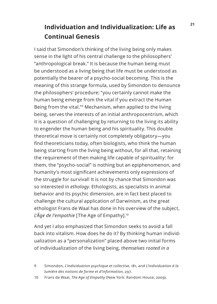#### **<sup>21</sup> Individuation and Individualization: Life as Continual Genesis**

I said that Simondon's thinking of the living being only makes sense in the light of his central challenge to the philosophers' "anthropological break." It is because the human being must be understood as a living being that life must be understood as potentially the bearer of a psycho-social becoming. This is the meaning of this strange formula, used by Simondon to denounce the philosophers' procedure: "you certainly cannot make the human being emerge from the vital if you extract the Human Being from the vital."9 Mechanism, when applied to the living being, serves the interests of an initial anthropocentrism, which it is a question of challenging by returning to the living its ability to engender the human being and his spirituality. This double theoretical move is certainly not completely obligatory—you find theoreticians today, often biologists, who think the human being starting from the living being without, for all that, retaining the requirement of then making life capable of spirituality: for them, the "psycho-social" is nothing but an epiphenomenon, and humanity's most significant achievements only expressions of the struggle for survival! It is not by chance that Simondon was so interested in *ethology*. Ethologists, as specialists in animal behavior and its psychic dimension, are in fact best placed to challenge the cultural application of Darwinism, as the great ethologist Frans de Waal has done in his overview of the subject, L'Âge de l'empathie [The Age of Empathy].<sup>10</sup>

And yet I also emphasized that Simondon seeks to avoid a fall back into vitalism. How does he do it? By thinking human individualization as a "personalization" placed above two initial forms of individualization of the living being, *themselves rooted in a* 

<sup>9</sup> Simondon, *L'individuation psychique et collective*, 181, and *L'individuation à la lumière des notions de forme et d'information*, 297.

<sup>10</sup> Frans de Waal, *The Age of Empathy* (New York: Random House, 2009).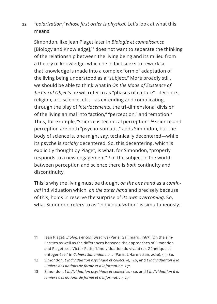**22** *"polarization," whose first order is physical*. Let's look at what this means.

Simondon, like Jean Piaget later in *Biologie et connaissance*  [Biology and Knowledge],<sup>11</sup> does not want to separate the thinking of the relationship between the living being and its milieu from a theory of knowledge, which he in fact seeks to rework so that knowledge is made into a complex form of adaptation of the living being understood as a "subject." More broadly still, we should be able to think what in *On the Mode of Existence of Technical Objects* he will refer to as "phases of culture"—technics, religion, art, science, etc.—as extending and complicating, through the play of *interlacements*, the tri-dimensional division of the living animal into "action," "perception," and "emotion." Thus, for example, "science is technical perception":12 science and perception are both "psycho-somatic," adds Simondon, but the body of science is, one might say, technically decentered—while its psyche is *socially* decentered. So, this decentering, which is explicitly thought by Piaget, is what, for Simondon, "properly responds to a new engagement"13 of the subject in the world: between perception and science there is *both* continuity and discontinuity.

This is why the living must be thought *on the one hand* as a *continual* individuation which, *on the other hand* and precisely because of this, holds in reserve the surprise of *its own overcoming*. So, what Simondon refers to as "individua*liza*tion" is simultaneously:

- 11 Jean Piaget, *Biologie et connaissance* (Paris: Gallimard, 1967). On the similarities as well as the differences between the approaches of Simondon and Piaget, see Victor Petit, "L'individuation du vivant (2). Génétique et ontogenèse," in *Cahiers Simondon no. 2* (Paris: L'Harmattan, 2010), 53–80.
- 12 Simondon, *L'individuation psychique et collective*, 140, and *L'individuation à la lumière des notions de forme et d'information*, 271.
- 13 Simondon, *L'individuation psychique et collective*, 140, and *L'individuation à la lumière des notions de forme et d'information*, 271.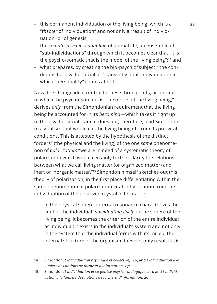- this permanent individuation of the living being, which is a **23** "*theater* of individuation" and not only a "result of individuation" or of genesis;
- the *somato-psychic redoubling* of animal life, an ensemble of "sub-individuations" through which it becomes clear that "it is the psycho-somatic that is the model of the living being";14 and
- what prepares, by creating the bio-psychic "subject," the conditions for psycho-social or "transindividual" individuation in which "personality" comes about.

Now, the strange idea, central to these three points, according to which the psycho-somatic is "the model of the living being," derives *only* from the Simondonian requirement that the living being be accounted for in its *becoming*—which takes it right up to the psycho-social—and it does not, therefore, lead Simondon to a vitalism that would cut the living being off from its pre-vital conditions. This is attested by the hypothesis of the distinct "orders" (the physical and the living) of the one *same* phenomenon of *polarization*: "we are in need of a systematic theory of polarization which would certainly further clarify the relations between what we call living matter (or organized matter) and inert or inorganic matter."<sup>15</sup> Simondon himself sketches out this theory of polarization, in the first place differentiating within the same phenomenon of polarization vital individuation from the individuation of the polarized crystal in formation:

In the physical sphere, internal resonance characterizes the limit of the individual *individuating itself*; in the sphere of the living being, it becomes the criterion of the entire individual as individual; it exists in the individual's system and not only in the system that the individual forms with its milieu; the internal structure of the organism does not only result (as is

- 14 Simondon, *L'individuation psychique et collective*, 140, and *L'individuation à la lumière des notions de forme et d'information*, 271.
- 15 Simondon, *L'individuation et sa genèse physico-biologique*, 201, and *L'individuation à la lumière des notions de forme et d'information*, 203.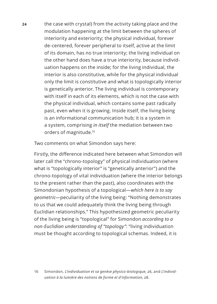**24** the case with crystal) from the activity taking place and the modulation happening at the limit between the spheres of interiority and exteriority; the physical individual, forever de-centered, forever peripheral to itself, active at the limit of its domain, has no true interiority; the living individual on the other hand does have a true interiority, because individuation happens on the inside; for the living individual, the interior is also constitutive, while for the physical individual only the limit is constitutive and what is topologically interior is genetically anterior. The living individual is contemporary with itself in each of its elements, which is not the case with the physical individual, which contains some past radically past, even when it is growing. Inside itself, the living being is an informational communication hub; it is a system in a system, comprising *in itself* the mediation between two orders of magnitude.<sup>16</sup>

Two comments on what Simondon says here:

Firstly, the difference indicated here between what Simondon will later call the "chrono-topology" of physical individuation (where what is "topologically interior" is "genetically anterior") and the chrono-topology of vital individuation (where the interior belongs to the present rather than the past), also coordinates with the Simondonian hypothesis of a topological—*which here is to say geometric*—peculiarity of the living being: "Nothing demonstrates to us that we could adequately think the living being through Euclidian relationships." This hypothesized geometric peculiarity of the living being is "topological" for Simondon *according to a non-Euclidian understanding of "topology"*: "living individuation must be thought according to topological schemas. Indeed, it is

16 Simondon, *L'individuation et sa genèse physico-biologique*, 26, and *L'individuation à la lumière des notions de forme et d'information*, 28.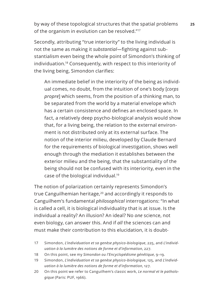by way of these topological structures that the spatial problems **25** of the organism in evolution can be resolved."17

Secondly, attributing "true interiority" to the living individual is not the same as making it *substantial—*fighting against substantialism even being the whole point of Simondon's thinking of individuation.18 Consequently, with respect to this interiority of the living being, Simondon clarifies:

An immediate belief in the interiority of the being as individual comes, no doubt, from the intuition of one's body [*corps propre*] which seems, from the position of a thinking man, to be separated from the world by a material envelope which has a certain consistence and defines an enclosed space. In fact, a relatively deep psycho-biological analysis would show that, for a living being, the relation to the external environment is not distributed only at its external surface. The notion of the interior milieu, developed by Claude Bernard for the requirements of biological investigation, shows well enough through the mediation it establishes between the exterior milieu and the being, that the substantiality of the being should not be confused with its interiority, even in the case of the biological individual.19

The notion of polarization certainly represents Simondon's true Canguilhemian heritage,<sup>20</sup> and accordingly it responds to Canguilhem's fundamental *philosophical* interrogations: "In what is called a cell, it is biological individuality that is at issue. Is the individual a reality? An illusion? An ideal? No *one* science, not even biology, can answer this. And if *all* the sciences can and must make their contribution to this elucidation, it is doubt-

- 17 Simondon, *L'individuation et sa genèse physico-biologique*, 225, and *L'individuation à la lumière des notions de forme et d'information*, 227.
- 18 On this point, see my *Simondon ou l'Encyclopédisme génétique*, 9–19.
- 19 Simondon, *L'individuation et sa genèse physico-biologique*, 125, and *L'individuation à la lumière des notions de forme et d'information*, 127.
- 20 On this point we refer to Canguilhem's classic work, *Le normal et le pathologique* (Paris: PUF, 1966).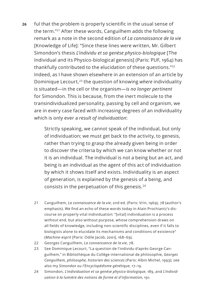**26** ful that the problem is properly scientific in the usual sense of the term."<sup>21</sup> After these words, Canguilhem adds the following remark as a note in the second edition of *La connaissance de la vie* [Knowledge of Life]: "Since these lines were written, Mr. Gilbert Simondon's thesis *L'individu et sa genèse physico-biologique* [The Individual and its Physico-biological genesis] (Paris: PUF, 1964) has thankfully contributed to the elucidation of these questions."<sup>22</sup> Indeed, as I have shown elsewhere in an extension of an article by Dominique Lecourt,<sup>23</sup> the question of knowing *where* individuality is situated—in the cell or the organism—*is no longer pertinent*  for Simondon. This is because, from the inert molecule to the transindividualized personality, passing by cell and organism, we are in every case faced with increasing degrees of an individuality which is only ever a *result of individuation*:

> Strictly speaking, we cannot speak of the individual, but only of individuation; we must get back to the activity, to genesis, rather than trying to grasp the already given being in order to discover the criteria by which we can know whether or not it is an individual. The individual is not a being but an act, and being is an individual as the agent of this act of individuation by which it shows itself and exists. Individuality is an aspect of generation, is explained by the genesis of a being, and consists in the perpetuation of this genesis.<sup>24</sup>

- 21 Canguilhem, *La connaissance de la vie*, 2nd ed. (Paris: Vrin, 1969), 78 (author's emphasis). We find an echo of these words today in Alain Prochiantz's discourse on properly vital individuation: "[vital] individuation is a process without end, but also without purpose, whose comprehension draws on all fields of knowledge, including non-scientific disciplines, even if it falls to biologists alone to elucidate its mechanisms and conditions of existence" (*Machine-esprit* [Paris: Odile Jacob, 2001], 168–69).
- 22 Georges Canguilhem, *La connaissance de la vie*, 78.
- 23 See Dominique Lecourt, "La question de l'individu d'après George Canguilhem," in Bibliothèque du Collège international de philosophie, *Georges Canguilhem, philosophe, historien des sciences* (Paris: Albin Michel, 1993); see also my *Simondon ou l'Encyclopédisme génétique*, 17–19.
- 24 Simondon, *L'individuation et sa genèse physico-biologique*, 189, and *L'individuation à la lumière des notions de forme et d'information*, 191.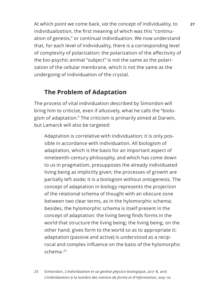At which point we come back, *via* the concept of individuality, to **27** individua*liza*tion, the first meaning of which was this "continuation of genesis," or continual individuation. We now understand that, for each level of individuality, there is a corresponding level of complexity of polarization: the polarization of the affectivity of the bio-psychic animal "subject" is not the same as the polarization of the cellular membrane, which is not the same as the undergoing of individuation of the crystal.

#### **The Problem of Adaptation**

The process of vital individuation described by Simondon will bring him to criticize, even if allusively, what he calls the "biologism of adaptation." The criticism is primarily aimed at Darwin, but Lamarck will also be targeted:

Adaptation is correlative with individuation; it is only possible in accordance with individuation. All biologism of adaptation, which is the basis for an important aspect of nineteenth-century philosophy, and which has come down to us in pragmatism, presupposes the already individuated living being as implicitly given; the processes of growth are partially left aside; it is a biologism without ontogenesis. The concept of adaptation in biology represents the projection of the relational schema of thought with an obscure zone between two clear terms, as in the hylomorphic schema; besides, the hylomorphic schema is itself present in the concept of adaptation: the living being finds forms in the world that structure the living being; the living being, on the other hand, gives form to the world so as to appropriate it: adaptation (passive and active) is understood as a reciprocal and complex influence on the basis of the hylomorphic schema.<sup>25</sup>

25 Simondon, *L'individuation et sa genèse physico-biologique*, 207–8, and *L'individuation à la lumière des notions de forme et d'information*, 209–10.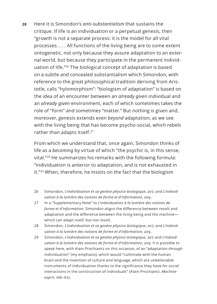**28** Here it is Simondon's *anti-substantialism* that sustains the critique. If life is an individuation or a perpetual genesis, then "growth is not a separate process: it is the model for all vital processes. . . . All functions of the living being are to some extent ontogenetic, not only because they assure adaptation to an external world, but because they participate in the permanent individuation of life."<sup>26</sup> The biological concept of adaptation is based on a subtle and concealed substantialism which Simondon, with reference to the great philosophical tradition deriving from Aristotle, calls "hylomorphism": "biologism of adaptation" is based on the idea of an encounter between an *already given* individual and an *already given* environment, each of which sometimes takes the role of "form" and sometimes "matter." But nothing is given and, moreover, genesis extends even *beyond* adaptation, as we see with the living being that has become psycho-social, which rebels rather than adapts itself.<sup>27</sup>

From which we understand that, once again, Simondon thinks of life as a *becoming* by virtue of which "the psychic is, in this sense, vital."28 He summarizes his remarks with the following formula: "individuation is anterior to adaptation, and is not exhausted in it."<sup>29</sup> When, therefore, he insists on the fact that the biologism

- 26 Simondon, *L'individuation et sa genèse physico-biologique*, 207, and *L'individuation à la lumière des notions de forme et d'information*, 209.
- 27 In a "Supplementary Note" to *L'individuation à la lumière des notions de forme et d'information*, Simondon aligns the difference between revolt and adaptation and the difference between the living being and the machine which can adapt itself, but not revolt.
- 28 Simondon, *L'individuation et sa genèse physico-biologique*, 207, and *L'individuation à la lumière des notions de forme et d'information*, 209.
- 29 Simondon, *L'individuation et sa genèse physico-biologique*, 207 and *L'individuation à la lumière des notions de forme et d'information*, 209. It is possible to speak here, with Alain Prochiantz on this occasion, of an "adaptation *through* individuation" (my emphasis), which would "culminate with the human brain and the invention of culture and language, which are unbelievable instruments of individuation thanks to the significance they have for social interactions in the construction of individuals" (Alain Prochiantz, *Machineesprit*, 166–67).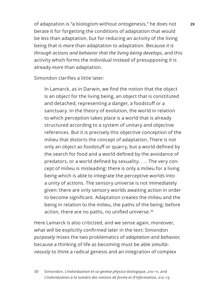of adaptation is "a biologism without ontogenesis," he does not **29** berate it for forgetting the conditions of adaptation that would be *less* than adaptation, but for reducing an activity of the living being that is *more* than adaptation to adaptation. Because *it is through actions and behavior that the living being develops*, and this activity which forms the individual instead of presupposing it is already *more* than adaptation.

Simondon clarifies a little later:

In Lamarck, as in Darwin, we find the notion that the object is an object for the living being, an object that is constituted and detached, representing a danger, a foodstuff or a sanctuary. In the theory of evolution, the world in relation to which perception takes place is a world that is already structured according to a system of unitary and objective references. But it is precisely this objective conception of the milieu that distorts the concept of adaptation. There is not only an object as foodstuff or quarry, but a world defined by the search for food and a world defined by the avoidance of predators, or a world defined by sexuality. . . . The very concept of milieu is misleading: there is only a milieu for a living being which is able to integrate the perceptive worlds into a unity of actions. The sensory universe is not immediately given: there are only sensory worlds awaiting action in order to become significant. Adaptation creates the milieu and the being in relation to the milieu, the paths of the being; before action, there are no paths, no unified universe.30

Here Lamarck is also criticized, and we sense again, moreover, what will be explicitly confirmed later in the text: Simondon *purposely* mixes the two problematics of *adaptation* and *behavior*, because a thinking of life as becoming must be able *simultaneously* to think a radical genesis and an integration of complex

30 Simondon, *L'individuation et sa genèse physico-biologique*, 210–11, and *L'individuation à la lumière des notions de forme et d'information*, 212–13.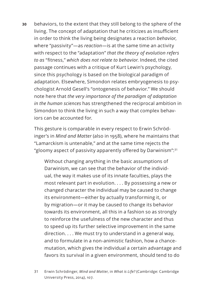**30** behaviors, to the extent that they still belong to the sphere of the living. The concept of adaptation that he criticizes as insufficient in order to think the living being designates a reaction *behavior*, where "passivity"—as *reaction*—is at the same time an activity with respect to the "adaptation" *that the theory of evolution refers to as* "fitness," *which does not relate to behavior*. Indeed, the cited passage continues with a critique of Kurt Lewin's psychology, since this psychology is based on the biological paradigm of adaptation. Elsewhere, Simondon relates embryogenesis to psychologist Arnold Gesell's "ontogenesis of behavior." We should note here that *the very importance of the paradigm of adaptation in the human sciences* has strengthened the reciprocal ambition in Simondon to think the living in such a way that complex behaviors can be accounted for.

This gesture is comparable in every respect to Erwin Schrödinger's in *Mind and Matter* (also in 1958), where he maintains that "Lamarckism is untenable," and at the same time rejects the "gloomy aspect of passivity apparently offered by Darwinism":<sup>31</sup>

Without changing anything in the basic assumptions of Darwinism, we can see that the behavior of the individual, the way it makes use of its innate faculties, plays the most relevant part in evolution. . . . By possessing a new or changed character the individual may be caused to change its environment—either by actually transforming it, or by migration—or it may be caused to change its behavior towards its environment, all this in a fashion so as strongly to reinforce the usefulness of the new character and thus to speed up its further selective improvement in the same direction. . . . We must try to understand in a general way, and to formulate in a non-animistic fashion, how a chancemutation, which gives the individual a certain advantage and favors its survival in a given environment, should tend to do

31 Erwin Schrödinger, *Mind and Matter*, in *What is Life?* (Cambridge: Cambridge University Press, 2014), 107.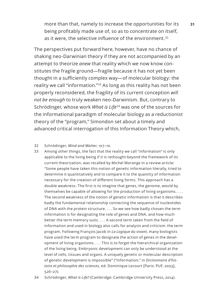more than that, namely to increase the opportunities for its **31** being profitably made use of, so as to concentrate on itself, as it were, the selective influence of the environment.<sup>32</sup>

The perspectives put forward here, however, have no chance of shaking neo-Darwinian theory if they are not accompanied by an attempt to theorize *anew* that reality which we now know constitutes the fragile ground—fragile because it has not yet been thought in a sufficiently complex way—of molecular biology: the reality we call "information."<sup>33</sup> As long as this reality has not been properly reconsidered, the fragility of its current conception *will not be enough* to truly weaken neo-Darwinism. But, contrary to Schrödinger, whose work *What is Life*<sup>34</sup> was one of the sources for the informational paradigm of molecular biology as a reductionist theory of the "program," Simondon set about a timely and advanced critical interrogation of this Information Theory which,

#### 32 Schrödinger, *Mind and Matter*, 107–10.

- 33 Among other things, the fact that the reality we call "information" is only applicable to the living being if it is rethought beyond the framework of its current theorization, was recalled by Michel Morange in a review article: "Some people have taken this notion of genetic information literally, tried to determine it quantitatively and to compare it to the quantity of information necessary for the creation of different living forms. This approach has a double weakness. The first is to imagine that genes, the genome, would by themselves be capable of allowing for the production of living organisms. . . . The second weakness of the notion of genetic information is that it describes badly the fundamental relationship connecting the sequence of nucleotides of DNA with the protein structure. . . . So we see how badly chosen the term information is for designating the role of genes and DNA, and how much better the term memory suits. . . . A second term taken from the field of information and used in biology also calls for analysis and criticism: the term program. Following François Jacob in *La Logique du vivant*, many biologists have used the term program to designate the action of genes in the development of living organisms. . . . This is to forget the hierarchical organization of the living being. Embryonic development can only be understood at the level of cells, tissues and organs. A uniquely genetic or molecular description of genetic development is impossible" ("Information," in *Dictionnaire d'histoire et philosophie des sciences*, ed. Dominique Lecourt [Paris: PUF, 2003], 526–27).
- 34 Schrödinger, *What is Life?* (Cambridge: Cambridge University Press, 2014).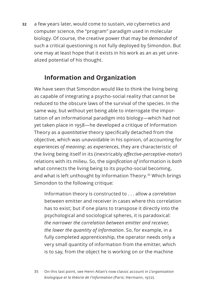**32** a few years later, would come to sustain, *via* cybernetics and computer science, the "program" paradigm used in molecular biology. Of course, the creative power that may be *demanded* of such a critical questioning is not fully deployed by Simondon. But one may at least hope that it exists in his work as an as yet unrealized potential of his thought.

#### **Information and Organization**

We have seen that Simondon would like to think the living being as capable of integrating a psycho-social reality that cannot be reduced to the obscure laws of the survival of the species. In the same way, but without yet being able to interrogate the importation of an informational paradigm into biology—which had not yet taken place in 1958—he developed a critique of Information Theory as a *quantitative* theory specifically detached from the objective, which was unavoidable in his opinion, of accounting for *experiences of meaning*: as *experiences*, they are characteristic of the living being itself in its (inextricably *affective-perceptive-motor*) relations with its milieu. So, the *signification of* information is *both*  what connects the living being to its psycho-social becoming, and what is left unthought by Information Theory.<sup>35</sup> Which brings Simondon to the following critique:

Information theory is constructed to . . . allow a *correlation* between emitter and receiver in cases where this correlation has to exist; but if one plans to transpose it directly into the psychological and sociological spheres, it is paradoxical: *the narrower the correlation between emitter and receiver, the lower the quantity of information*. So, for example, in a fully completed apprenticeship, the operator needs only a very small quantity of information from the emitter, which is to say, from the object he is working on or the machine

35 On this last point, see Henri Atlan's now classic account in *L'organisation biologique et la théorie de l'information* (Paris: Hermann, 1972).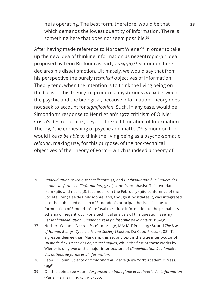he is operating. The best form, therefore, would be that **33** which demands the lowest quantity of information. There is something here that does not seem possible.<sup>36</sup>

After having made reference to Norbert Wiener<sup>37</sup> in order to take up the new idea of thinking information as negentropic (an idea proposed by Léon Brillouin as early as 1956),<sup>38</sup> Simondon here declares his dissatisfaction. Ultimately, we would say that from his perspective the purely *technical* objectives of Information Theory tend, when the intention is to think the living being on the basis of this theory, to produce a mysterious *break* between the psychic and the biological, because Information Theory does not seek to account for *signification*. Such, in any case, would be Simondon's response to Henri Atlan's 1972 criticism of Olivier Costa's desire to think, beyond the self-limitation of Information Theory, "the enmeshing of psyche and matter."<sup>39</sup> Simondon too would like *to be able* to think the living being as a psycho-somatic *relation*, making use, for this purpose, of the *non*-technical objectives of the Theory of Form—which is indeed a theory of

- 36 *L'individuation psychique et collective*, 51, and *L'individuation à la lumière des notions de forme et d'information*, 542 (author's emphasis). This text dates from 1960 and not 1958: it comes from the February 1960 conference of the Société Française de Philosophie, and, though it postdates it, was integrated into the published edition of Simondon's principal thesis. It is a better formulation of Simondon's refusal to reduce information to the probability schema of negentropy. For a technical analysis of this question, see my *Penser l'individuation. Simondon et la philosophie de la nature*, 116–30.
- 37 Norbert Wiener, *Cybernetics* (Cambridge, MA: MIT Press, 1948), and *The Use of Human Beings: Cybernetic and Society* (Boston: Da Capo Press, 1988). To a greater degree than Marxism, this second text is the true interlocutor of *Du mode d'existence des objets techniques*, while the first of these works by Wiener is only *one* of the major interlocutors of *L'individuation à la lumière des notions de forme et d'information*.
- 38 Léon Brillouin, *Science and Information Theory* (New York: Academic Press, 1956).
- 39 On this point, see Atlan, *L'organisation biologique et la théorie de l'information* (Paris: Hermann, 1972), 196–200.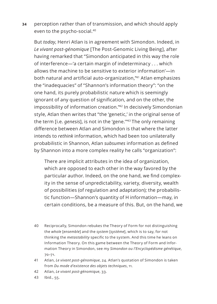**34** perception rather than of transmission, and which should apply even to the psycho-social.40

But *today*, Henri Atlan is in agreement with Simondon. Indeed, in *Le vivant post-génomique* [The Post-Genomic Living Being], after having remarked that "Simondon anticipated in this way the role of interference—'a certain margin of indeterminacy . . . which allows the machine to be sensitive to exterior information'—in both natural and artificial auto-organization,"41 Atlan emphasizes the "inadequacies" of "Shannon's information theory": "on the one hand, its purely probabilistic nature which is seemingly ignorant of any question of signification, and on the other, the impossibility of information creation."42 In decisively Simondonian style, Atlan then writes that "the 'genetic,' in the original sense of the term [i.e. *genesis*], is not in the 'gene.'"<sup>43</sup> The only remaining difference between Atlan and Simondon is that where the latter intends to *rethink* information, which had been too unilaterally probabilistic in Shannon, Atlan *subsumes* information as defined by Shannon into a more complex reality he calls "organization":

There are implicit attributes in the idea of organization, which are opposed to each other in the way favored by the particular author. Indeed, on the one hand, we find complexity in the sense of unpredictability, variety, diversity, wealth of possibilities (of regulation and adaptation); the probabilistic function—Shannon's quantity of H information—may, in certain conditions, be a measure of this. But, on the hand, we

- 40 Reciprocally, Simondon rebukes the Theory of Form for not distinguishing the *whole* [*ensemble*] and the *system* [*système*], which is to say, for not thinking the *metastability* specific to the system. And this time he leans on Information Theory. On this game between the Theory of Form and Information Theory in Simondon, see my *Simondon ou l'Encyclopédisme génétique*, 70–71.
- 41 Atlan, *Le vivant post-génomique*, 24. Atlan's quotation of Simondon is taken from *Du mode d'existence des objets techniques*, 11.
- 42 Atlan, *Le vivant post-génomique*, 33.
- 43 Ibid., 55.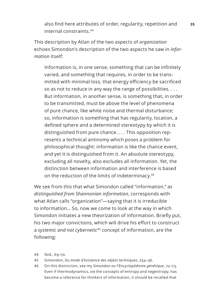also find here attributes of order, regularity, repetition and **35** internal constraints.<sup>44</sup>

This description by Atlan of the two aspects of *organization* echoes Simondon's description of the two aspects he saw in *information* itself:

Information is, in one sense, something that can be infinitely varied, and something that requires, in order to be transmitted with minimal loss, that energy efficiency be sacrificed so as not to reduce in any way the range of possibilities. . . . But information, in another sense, is something that, in order to be transmitted, must be above the level of phenomena of pure chance, like white noise and thermal disturbance; so, information is something that has regularity, location, a defined sphere and a determined stereotypy by which it is distinguished from pure chance. . . . This opposition represents a technical antinomy which poses a problem for philosophical thought: information is like the chance event, and yet it is distinguished from it. An absolute stereotypy, excluding all novelty, also excludes all information. Yet, the distinction between information and interference is based on the reduction of the limits of indeterminacy.<sup>45</sup>

We see from this that what Simondon called "information," *as distinguished from Shannonian information*, corresponds with what Atlan calls "organization"—saying that it is irreducible to information… So, now we come to look at the way in which Simondon initiates a new theorization of information. Briefly put, his two major convictions, which will drive his effort to construct a *systemic and not cybernetic*<sup>46</sup> concept of information, are the following:

- 44 Ibid., 69–70.
- 45 Simondon, *Du mode d'existence des objets techniques*, 234–36.
- 46 On this distinction, see my *Simondon ou l'Encyclopédisme génétique*, 72–73. Even if thermodynamics, *via* the concepts of entropy and negentropy, has become a reference for thinkers of information, it should be recalled that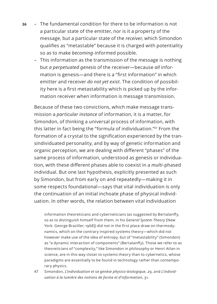- **36** The fundamental condition for there to be information is not a particular state of the emitter, nor is it a property of the message, but a particular state of the *receiver*, which Simondon qualifies as "metastable" because it is charged with potentiality so as to make *becoming*-informed possible.
	- This information as the transmission of the message is nothing but *a perpetuated genesis* of the receiver—because *all* information is genesis—and there is a "first information" in which emitter and receiver *do not yet exist*. The condition of possibility here is a first metastability which is picked up by the information receiver when information is message transmission.

Because of these two convictions, which make message transmission a *particular instance* of information, it is a matter, for Simondon, of thinking a universal process of information, with this latter in fact being the "formula of individuation."<sup>47</sup> From the formation of a crystal to the signification experienced by the transindividuated personality, and by way of genetic information and organic perception, we are dealing with different "phases" of the same process of information, understood as genesis or individuation, with these different phases able to coexist in a *multi*-phased individual. But one last hypothesis, explicitly presented as such by Simondon, but from early on and repeatedly—making it in some respects foundational—says that vital individuation is only the continuation of an initial inchoate phase of physical individuation. In other words, the relation between vital individuation

information theoreticians and cyberneticians (as suggested by Bertalanffy, so as to distinguish himself from them, in his *General System Theory* [New York: George Braziller, 1968]) did not in the first place draw on thermodynamics, which on the contrary inspired systems theory—which did not however make use of the idea of entropy, but of "metastability" (Simondon) as "a dynamic interaction of components" (Bertalanffy). Those we refer to as theoreticians of "complexity," like Simondon in philosophy or Henri Atlan in science, are in this way closer to systems theory than to cybernetics, whose paradigms are essentially to be found in technology rather than contemporary physics.

47 Simondon, *L'individuation et sa genèse physico-biologique*, 29, and *L'individuation à la lumière des notions de forme et d'information*, 31.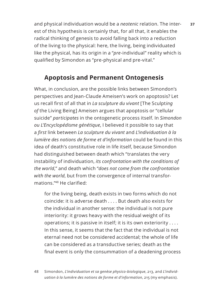and physical individuation would be a *neotenic* relation. The inter- **37** est of this hypothesis is certainly that, for all that, it enables the radical thinking of genesis to avoid falling back into a reduction of the living to the physical: here, the living, being individuated like the physical, has its origin in a "*pre*-individual" reality which is qualified by Simondon as "pre-physical and pre-vital."

#### **Apoptosis and Permanent Ontogenesis**

What, in conclusion, are the possible links between Simondon's perspectives and Jean-Claude Ameisen's work on apoptosis? Let us recall first of all that in *La sculpture du vivant* [The Sculpt*ing of* the Living Being] Ameisen argues that apoptosis or "cellular suicide" *participates* in the ontogenetic process itself. In *Simondon ou L'Encyclopédisme génétique*, I believed it possible to say that a *first* link between *La sculpture du vivant* and *L'individuation à la lumière des notions de forme et d'information* could be found in this idea of death's constitutive role in life itself, because Simondon had distinguished between death which "translates the very instability of individuation, *its confrontation with the conditions of the world*," and death which "*does not come from the confrontation with the world*, but from the convergence of internal transformations."48 He clarified:

for the living being, death exists in two forms which do not coincide: it is adverse death . . . . But death also exists for the individual in another sense: the individual is not pure interiority: it grows heavy with the residual weight of its operations; it is passive in itself; it is its own exteriority . . . . In this sense, it seems that the fact that the individual is not eternal need not be considered accidental; the whole of life can be considered as a transductive series; death as the final event is only the consummation of a deadening process

48 Simondon, *L'individuation et sa genèse physico-biologique*, 213, and *L'individuation à la lumière des notions de forme et d'information*, 215 (my emphasis).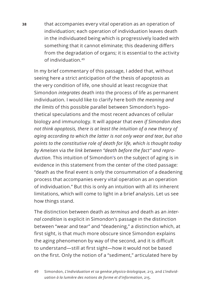**38** that accompanies every vital operation as an operation of individuation; each operation of individuation leaves death in the individuated being which is progressively loaded with something that it cannot eliminate; this deadening differs from the degradation of organs; it is essential to the activity of individuation.49

In my brief commentary of this passage, I added that, without seeing here a strict anticipation of the thesis of apoptosis as the very condition of life, one should at least recognize that Simondon *integrates* death into the process of life as permanent individuation. I would like to clarify here both *the meaning and the limits* of this possible parallel between Simondon's hypothetical speculations and the most recent advances of cellular biology and immunology. It will appear that *even if Simondon does not think apoptosis, there is at least the intuition of a new theory of aging according to which the latter is not only wear and tear*, *but also points to the constitutive role of death for life, which is thought today by Ameisen* via *the link between "death before the fact" and reproduction*. This intuition of Simondon's on the subject of aging is in evidence in this statement from the center of the cited passage: "death as the final event is only the consummation of a deadening process that accompanies every vital operation as an operation of individuation." But this is only an intuition with all its inherent limitations, which will come to light in a brief analysis. Let us see how things stand.

The distinction between death as *terminus* and death as an *internal condition* is explicit in Simondon's passage in the distinction between "wear and tear" and "deadening," a distinction which, at first sight, is that much more obscure since Simondon explains the aging phenomenon by way of the second, and it is difficult to understand—still at first sight—how it would not be based on the first. Only the notion of a "sediment," articulated here by

49 Simondon, *L'individuation et sa genèse physico-biologique*, 213, and *L'individuation à la lumière des notions de forme et d'information*, 215.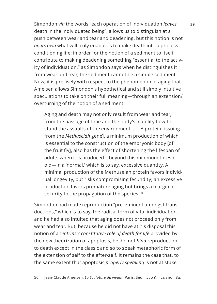Simondon *via* the words "each operation of individuation *leaves* **39** death in the individuated being", allows us to distinguish at a push between wear and tear and deadening, but this notion is not *on its own* what will truly enable us to make death into a process conditioning life: in order for the notion of a sediment to itself contribute to making deadening something "essential to the activity of individuation," as Simondon says when he distinguishes it from wear and tear, the sediment cannot be a simple sediment. Now, it is precisely with respect to the phenomenon of aging that Ameisen allows Simondon's hypothetical and still simply intuitive speculations to take on their full meaning—through an extension/ overturning of the notion of a sediment:

Aging and death may not only result from wear and tear, from the passage of time and the body's inability to withstand the assaults of the environment. . . . A protein [issuing from the *Methuselah* gene], a minimum production of which is essential to the construction of the embryonic body [of the fruit fly], also has the effect of shortening the lifespan of adults when it is produced—beyond this minimum threshold—in a 'normal,' which is to say, excessive quantity. A minimal production of the Methuselah protein favors individual longevity, but risks compromising fecundity; an excessive production favors premature aging but brings a margin of security to the propagation of the species.<sup>50</sup>

Simondon had made reproduction "pre-eminent amongst transductions," which is to say, the radical form of vital individuation, and he had also intuited that aging does not proceed only from wear and tear. But, because he did not have at his disposal this notion of an *intrinsic constitutive role of death for life* provided by the new theorization of apoptosis, he did not *bind* reproduction to death except in the classic and so to speak metaphoric form of the extension of self to the after-self. It remains the case that, to the same extent that apoptosis *properly speaking* is not at stake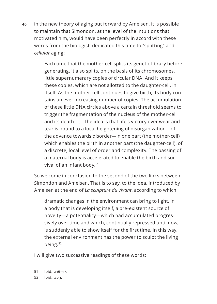**40** in the new theory of aging put forward by Ameisen, it is possible to maintain that Simondon, at the level of the intuitions that motivated him, would have been perfectly in accord with these words from the biologist, dedicated this time to "splitting" and *cellular* aging:

> Each time that the mother-cell splits its genetic library before generating, it also splits, on the basis of its chromosomes, little supernumerary copies of circular DNA. And it keeps these copies, which are not allotted to the daughter-cell, in itself. As the mother-cell continues to give birth, its body contains an ever increasing number of copies. The accumulation of these little DNA circles above a certain threshold seems to trigger the fragmentation of the nucleus of the mother-cell and its death. . . . The idea is that life's victory over wear and tear is bound to a local heightening of disorganization—of the advance towards disorder—in one part (the mother-cell) which enables the birth in another part (the daughter-cell), of a discrete, local level of order and complexity. The passing of a maternal body is accelerated to enable the birth and survival of an infant body.<sup>51</sup>

So we come in conclusion to the second of the two links between Simondon and Ameisen. That is to say, to the idea, introduced by Ameisen at the end of *La sculpture du vivant*, according to which

dramatic changes in the environment can bring to light, in a body that is developing itself, a pre-existent source of novelty—a potentiality—which had accumulated progressively over time and which, continually repressed until now, is suddenly able to show itself for the first time. In this way, the external environment has the power to sculpt the living being.<sup>52</sup>

I will give two successive readings of these words:

51 Ibid., 416–17. 52 Ibid., 409.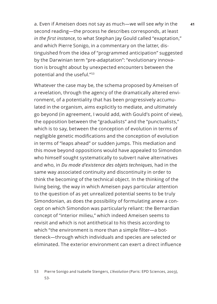a. Even if Ameisen does not say as much—we will see *why* in the **41** second reading—the process he describes corresponds, at least *in the first instance*, to what Stephan Jay Gould called "exaptation," and which Pierre Sonigo, in a commentary on the latter, distinguished from the idea of "programmed anticipation" suggested by the Darwinian term "pre-adaptation": "evolutionary innovation is brought about by unexpected encounters between the potential and the useful."<sup>53</sup>

Whatever the case may be, the schema proposed by Ameisen of a revelation, through the agency of the dramatically altered environment, of a potentiality that has been progressively accumulated in the organism, aims explicitly to mediate, and ultimately go beyond (in agreement, I would add, with Gould's point of view), the opposition between the "gradualists" and the "punctualists," which is to say, between the conception of evolution in terms of negligible genetic modifications and the conception of evolution in terms of "leaps ahead" or sudden jumps. This mediation and this move beyond oppositions would have appealed to Simondon who himself sought systematically to subvert naïve alternatives and who, in *Du mode d'existence des objets techniques*, had in the same way associated continuity and discontinuity in order to think the becoming of the technical object. In the thinking of the living being, the way in which Ameisen pays particular attention to the question of as yet unrealized potential seems to be truly Simondonian, as does the possibility of formulating anew a concept on which Simondon was particularly reliant: the Bernardian concept of "interior milieu," which indeed Ameisen seems to revisit and which is not antithetical to his thesis according to which "the environment is more than a simple filter—a bottleneck—through which individuals and species are selected or eliminated. The exterior environment can exert a direct influence

<sup>53</sup> Pierre Sonigo and Isabelle Stengers, *L'évolution* (Paris: EPD Sciences, 2003), 53.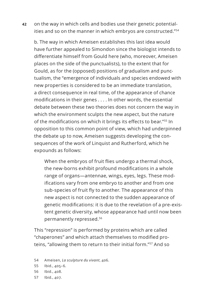**42** on the way in which cells and bodies use their genetic potentialities and so on the manner in which embryos are constructed."<sup>54</sup>

b. The way in which Ameisen establishes this last idea would have further appealed to Simondon since the biologist intends to differentiate himself from Gould here (who, moreover, Ameisen places on the side of the punctualists), to the extent that for Gould, as for the (opposed) positions of gradualism and punctualism, the "emergence of individuals and species endowed with new properties is considered to be an immediate translation, a direct consequence in real time, of the appearance of chance modifications in their genes . . . . In other words, the essential debate between these two theories does not concern the way in which the environment sculpts the new aspect, but the nature of the modifications on which it brings its effects to bear."55 In opposition to this common point of view, which had underpinned the debate up to now, Ameisen suggests developing the consequences of the work of Linquist and Rutherford, which he expounds as follows:

When the embryos of fruit flies undergo a thermal shock, the new-borns exhibit profound modifications in a whole range of organs—antennae, wings, eyes, legs. These modifications vary from one embryo to another and from one sub-species of fruit fly to another. The appearance of this new aspect is not connected to the sudden appearance of genetic modifications: it is due to the revelation of a pre-existent genetic diversity, whose appearance had until now been permanently repressed.<sup>56</sup>

This "repression" is performed by proteins which are called "chaperones" and which attach themselves to modified proteins, "allowing them to return to their initial form."<sup>57</sup> And so

- 54 Ameisen, *La sculpture du vivant*, 406.
- 55 Ibid., 405–6.
- 56 Ibid., 408.
- 57 Ibid., 407.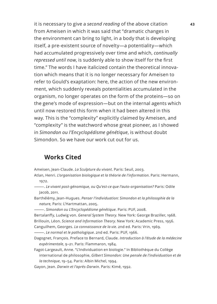it is necessary to give a *second reading* of the above citation **43** from Ameisen in which it was said that "dramatic changes in the environment can bring to light, in a body that is developing itself, a pre-existent source of novelty—a potentiality—which had accumulated progressively over time and which, *continually repressed until now*, is suddenly able to show itself for the first time." The words I have italicized contain the theoretical innovation which means that it is no longer necessary for Ameisen to refer to Gould's exaptation: here, the action of the new environment, which suddenly reveals potentialities accumulated in the organism, no longer operates on the form of the proteins—so on the gene's mode of expression—but on the internal agents which until now restored this form when it had been altered in this way. This is the "complexity" explicitly claimed by Ameisen, and "complexity" is the watchword whose great pioneer, as I showed in *Simondon ou l'Encyclopédisme génétique*, is without doubt Simondon. So we have our work cut out for us.

#### **Works Cited**

Ameisen, Jean-Claude. *La Sculpture du vivant*. Paris: Seuil, 2003.

- Atlan, Henri. *L'organisation biologique et la théorie de l'information*. Paris: Hermann, 1972.
- ———. *Le vivant post-génomique, ou Qu'est-ce que l'auto-organisation?* Paris: Odile Jacob, 2011.
- Barthélémy, Jean-Hugues. *Penser l'individuation: Simondon et la philosophie de la nature,* Paris: L'Hartmattan, 2005.

———. *Simondon ou L'Encyclopédisme génétique*. Paris: PUF, 2008.

Bertalanffy, Ludwig von. *General System Theory.* New York: George Braziller, 1968. Brillouin, Léon. *Science and Information Theory*. New York: Academic Press, 1956.

Canguilhem, Georges. *La connaissance de la vie*. 2nd ed. Paris: Vrin, 1969.

———. *Le normal et le pathologique*. 2nd ed. Paris: PUF, 1966.

Dagognet, François. Preface to Bernard, Claude. *Introduction à l'étude de la médecine expérimentale*, 9–21. Paris: Flammaron, 1984.

Fagot-Largeault, Anne. "L'Individuation en biologie." In Bibliothèque du Collège international de philosophie, *Gilbert Simondon: Une pensée de l'individuation et de la technique*, 19–54. Paris: Albin Michel, 1994.

Gayon, Jean. *Darwin et l'après-Darwin*. Paris: Kimé, 1992.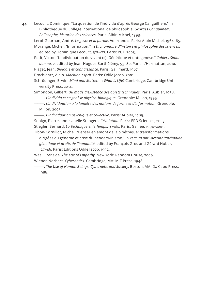**44** Lecourt, Dominique. "La question de l'individu d'après George Canguilhem." In Bibliothèque du Collège international de philosophie, *Georges Canguilhem: Philosophe, historien des sciences*. Paris: Albin Michel, 1993.

Leroi-Gourhan, André. *Le geste et la parole*. Vol. 1 and 2. Paris: Albin Michel, 1964–65. Morange, Michel. "Information." In *Dictionnaire d'histoire et philosophie des sciences*, edited by Dominique Lecourt, 526–27. Paris: PUF, 2003.

Petit, Victor. "L'individuation du vivant (2). Génétique et ontogenèse." *Cahiers Simondon no. 2*, edited by Jean-Hugues Barthélémy, 53–80. Paris: L'Harmattan, 2010.

Piaget, Jean. *Biologie et connaissance*. Paris: Gallimard, 1967.

Prochiantz, Alain. *Machine-esprit*. Paris: Odile Jacob, 2001.

Schrödinger, Erwin. *Mind and Matter.* In *What is Life?* Cambridge: Cambridge University Press, 2014.

Simondon, Gilbert. *Du mode d'existence des objets techniques*. Paris: Aubier, 1958.

———. *L'individu et sa genèse physico-biologique*. Grenoble: Millon, 1995.

———. *L'individuation à la lumière des notions de forme et d'information*, Grenoble: Millon, 2005.

———. *L'individuation psychique et collective*. Paris: Aubier, 1989.

Sonigo, Pierre, and Isabelle Stengers, *L'évolution.* Paris: EPD Sciences, 2003.

Stiegler, Bernard. *La Technique et le Temps*. 3 vols. Paris: Galilée, 1994–2001.

Tibon-Cornillot, Michel. "Penser en amont de la bioéthique: transformations dirigées du génome et crise du néodarwinisme." In *Vers un anti-destin? Patrimoine génétique et droits de l'humanité*, edited by François Gros and Gérard Huber, 127–46. Paris: Editions Odile Jacob, 1992.

Waal, Frans de. *The Age of Empathy*. New York: Random House, 2009.

Wiener, Norbert. *Cybernetics*. Cambridge, MA: MIT Press, 1948.

———. *The Use of Human Beings: Cybernetic and Society*. Boston, MA: Da Capo Press, 1988.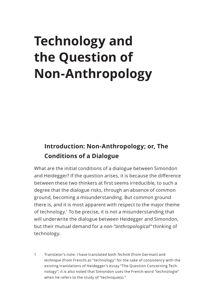# **Technology and the Question of Non-Anthropology**

### **Introduction: Non-Anthropology; or, The Conditions of a Dialogue**

What are the initial conditions of a dialogue between Simondon and Heidegger? If the question arises, it is because the difference between these two thinkers at first seems irreducible, to such a degree that the dialogue risks, through an absence of common ground, becoming a misunderstanding. But common ground there is, and it is most apparent with respect to the major theme of technology.<sup>1</sup> To be precise, it is not a misunderstanding that will underwrite the dialogue between Heidegger and Simondon, but their mutual demand for a *non-"anthropological"* thinking of technology.

1 Translator's note: I have translated both *Technik* (from German) and *technique* (from French) as "technology" for the sake of consistency with the existing translations of Heidegger's essay "The Question Concerning Technology"; it is also noted that Simondon uses the French word "technologie" when he refers to the study of "technique(s)."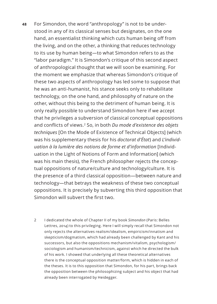- **48** For Simondon, the word "anthropology" is not to be understood in any of its classical senses but designates, on the one hand, an essentialist thinking which cuts human being off from the living, and on the other, a thinking that reduces technology to its use by human being—to what Simondon refers to as the "labor paradigm." It is Simondon's critique of this second aspect of anthropological thought that we will soon be examining. For the moment we emphasize that whereas Simondon's critique of these two aspects of anthropology has led some to suppose that he was an anti-humanist, his stance seeks only to rehabilitate technology, on the one hand, and philosophy of nature on the other, without this being to the detriment of human being. It is only really possible to understand Simondon here if we accept that he privileges a subversion of classical conceptual oppositions and conflicts of views.2 So, in both *Du mode d'existence des objets techniques* [On the Mode of Existence of Technical Objects] (which was his supplementary thesis for his *doctorat d'État*) and *L'individuation à la lumière des notions de forme et d'information* [Individuation in the Light of Notions of Form and Information] (which was his main thesis), the French philosopher rejects the conceptual oppositions of nature/culture and technology/culture. It is the presence of a third classical opposition—between nature and technology—that betrays the weakness of these two conceptual oppositions. It is precisely by subverting this third opposition that Simondon will subvert the first two.
	- 2 I dedicated the whole of Chapter II of my book *Simondon* (Paris: Belles Lettres, 2014) to this privileging. Here I will simply recall that Simondon not only rejects the alternatives realism/idealism, empiricism/innatism and skepticism/dogmatism, which had already been challenged by Kant and his successors, but also the oppositions mechanism/vitalism, psychologism/ sociologism and humanism/technicism, against which he directed the bulk of his work. I showed that underlying all these theoretical alternatives there is the conceptual opposition matter/form, which is hidden in each of the theses. It is to this opposition that Simondon, for his part, brings back the opposition between the philosophizing subject and his object that had already been interrogated by Heidegger.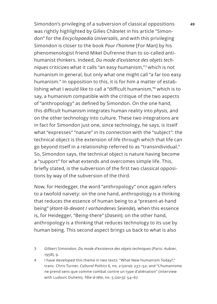Simondon's privileging of a subversion of classical oppositions **49** was rightly highlighted by Gilles Châtelet in his article "Simondon" for the *Encyclopaedia Universalis*, and with this privileging Simondon is closer to the book *Pour l'homme* [For Man] by his phenomenologist friend Mikel Dufrenne than to so-called antihumanist thinkers. Indeed, *Du mode d'existence des objets techniques* criticizes what it calls "an easy humanism,"3 which is not humanism in general, but only what one might call "a far too easy humanism." In opposition to this, it is for him a matter of establishing what I would like to call a "difficult humanism,"4 which is to say, a humanism compatible with the critique of the two aspects of "anthropology" as defined by Simondon. On the one hand, this difficult humanism integrates human reality into *physis*, and on the other technology into culture. These two integrations are in fact for Simondon just one, since technology, he says, is itself what "expresses" "nature" in its connection with the "subject": the technical object is the extension of life through which that life can go beyond itself in a relationship referred to as "transindividual." So, Simondon says, the technical object is nature having become a "support" for what extends and overcomes simple life. This, briefly stated, is the subversion of the first two classical oppositions by way of the subversion of the third.

Now, for Heidegger, the word "anthropology" once again refers to a twofold naivety: on the one hand, anthropology is a thinking that reduces the essence of human being to a "present-at-hand being" (*étant-là-devant* / *vorhandenes Seiende*), when this essence is, for Heidegger, "Being-there" (*Dasein*); on the other hand, anthropology is a thinking that reduces technology to its use by human being. This second aspect brings us back to what is also

- 3 Gilbert Simondon, *Du mode d'existence des objets techniques* (Paris: Aubier, 1958), 9.
- 4 I have developed this theme in two texts: "What New Humanism Today?," trans. Chris Turner, *Cultural Politics* 6, no. 2 (2010): 237–52; and "L'humanisme ne prend sens que comme combat contre un type d'aliénation" (interview with Ludovic Duhem), *Tête-à-tête*, no. 5 (2013): 54–67.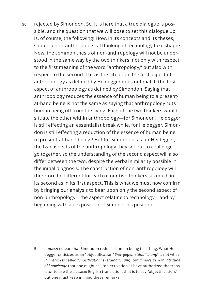**50** rejected by Simondon. So, it is here that a true dialogue is possible, and the question that we will pose to set this dialogue up is, of course, the following: How, in its concepts and its theses, should a non-anthropological thinking of technology take shape? Now, the common thesis of non-anthropology will not be understood in the same way by the two thinkers, not only with respect to the first meaning of the word "anthropology," but also with respect to the second. This is the situation: the first aspect of anthropology as defined by Heidegger does not match the first aspect of anthropology as defined by Simondon. Saying that anthropology reduces the essence of human being to a presentat-hand being is not the same as saying that anthropology cuts human being off from the living. Each of the two thinkers would situate the other within anthropology—for Simondon, Heidegger is still effecting an essentialist break while, for Heidegger, Simondon is still effecting a reduction of the essence of human being to present-at-hand being.<sup>5</sup> But for Simondon, as for Heidegger, the two aspects of the anthropology they set out to challenge go together, so the understanding of the second aspect will also differ between the two, despite the verbal similarity possible in the initial diagnosis. The construction of non-anthropology will therefore be different for each of our two thinkers, as much in its second as in its first aspect. This is what we must now confirm by bringing our analysis to bear upon only the second aspect of non-anthropology—the aspect relating to technology—and by beginning with an exposition of Simondon's position.

5 It *doesn't* mean that Simondon reduces human being to a thing. What Heidegger criticizes as an "objectification" (*Ver-gegen-ständlichung*) is not what in French is called "*chosification*" (*Verdinglichung*) but *a more general attitude of knowledge* that one might call "objectivation." I have authorized the translator to use the *classical* English translation, that is to say "objectification," but one must keep in mind these remarks.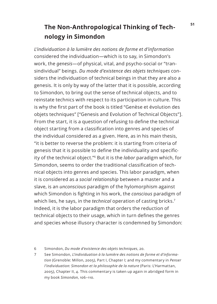## **<sup>51</sup> The Non-Anthropological Thinking of Technology in Simondon**

*L'individuation à la lumière des notions de forme et d'information*  considered the individuation—which is to say, in Simondon's work, the *genesis*—of physical, vital, and psycho-social or "transindividual" beings. *Du mode d'existence des objets techniques* considers the individuation of technical beings in that they are also a genesis. It is only by way of the latter that it is possible, according to Simondon, to bring out the sense of technical objects, and to reinstate technics with respect to its participation in culture. This is why the first part of the book is titled "Genèse et évolution des objets techniques" ["Genesis and Evolution of Technical Objects"]. From the start, it is a question of refusing to define the technical object starting from a classification into genres and species of the individual considered as a given. Here, as in his main thesis, "it is better to reverse the problem: it is starting from criteria of genesis that it is possible to define the individuality and specificity of the technical object."6 But it is the *labor* paradigm which, for Simondon, seems to order the traditional classification of technical objects into genres and species. This labor paradigm, when it is considered as a *social relationship* between a master and a slave, is an *unconscious* paradigm of the hylomorphism against which Simondon is fighting in his work, the *conscious* paradigm of which lies, he says, in the *technical* operation of casting bricks.<sup>7</sup> Indeed, it is the labor paradigm that orders the reduction of technical objects to their usage, which in turn defines the genres and species whose illusory character is condemned by Simondon:

<sup>6</sup> Simondon, *Du mode d'existence des objets techniques*, 20.

<sup>7</sup> See Simondon, *L'individuation à la lumière des notions de forme et d'information* (Grenoble: Millon, 2005), Part I, Chapter I; and my commentary in *Penser l'individuation: Simondon et la philosophie de la nature* (Paris: L'Harmattan, 2005), Chapter II, 4. This commentary is taken up again in abridged form in my book *Simondon*, 106–110.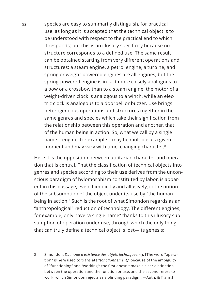**52** species are easy to summarily distinguish, for practical use, as long as it is accepted that the technical object is to be understood with respect to the practical end to which it responds; but this is an illusory specificity because no structure corresponds to a defined use. The same result can be obtained starting from very different operations and structures: a steam engine, a petrol engine, a turbine, and spring or weight-powered engines are all engines; but the spring-powered engine is in fact more closely analogous to a bow or a crossbow than to a steam engine; the motor of a weight-driven clock is analogous to a winch, while an electric clock is analogous to a doorbell or buzzer. Use brings heterogeneous operations and structures together in the same genres and species which take their signification from the relationship between this operation and another, that of the human being in action. So, what we call by a single name—engine, for example—may be multiple at a given moment and may vary with time, changing character.<sup>8</sup>

Here it is the opposition between utilitarian character and operation that is central. That the classification of technical objects into genres and species according to their use derives from the unconscious paradigm of hylomorphism constituted by labor, is apparent in this passage, even if implicitly and allusively, in the notion of the subsumption of the object under its use by "the human being in action." Such is the root of what Simondon regards as an "anthropological" reduction of technology. The different engines, for example, only have "a single name" thanks to this illusory subsumption of operation under use, through which the only thing that can truly define a technical object is lost—its genesis:

8 Simondon, *Du mode d'existence des objets techniques*, 19. [The word "operation" is here used to translate "*fonctionnement*," because of the ambiguity of "functioning" and "working": the first doesn't make a clear distinction between the operation and the function or use, and the second refers to work, which Simondon rejects as a blinding paradigm. —Auth. & Trans.]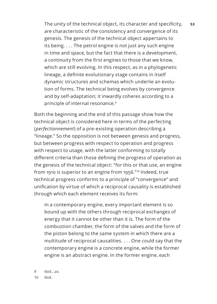The unity of the technical object, its character and specificity, **53** are characteristic of the consistency and convergence of its genesis. The genesis of the technical object appertains to its being. . . . The petrol engine is not just any such engine in time and space, but the fact that there is a development, a continuity from the first engines to those that we know, which are still evolving. In this respect, as in a phylogenetic lineage, a definite evolutionary stage contains in itself dynamic structures and schemas which underlie an evolution of forms. The technical being evolves by convergence and by self-adaptation; it inwardly coheres according to a principle of internal resonance.<sup>9</sup>

Both the beginning and the end of this passage show how the technical object is considered here in terms of the perfecting (*perfectionnement*) of a pre-existing operation describing a "lineage." So the opposition is not between genesis and progress, but between progress with respect to operation and progress with respect to usage, with the latter conforming to totally different criteria than those defining the progress of operation as the genesis of the technical object: "for this or that use, an engine from 1910 is superior to an engine from 1956."10 Indeed, true technical progress conforms to a principle of "convergence" and unification by virtue of which a reciprocal causality is established through which each element receives its form:

In a contemporary engine, every important element is so bound up with the others through reciprocal exchanges of energy that it cannot be other than it is. The form of the combustion chamber, the form of the valves and the form of the piston belong to the same system in which there are a multitude of reciprocal causalities. . . . One could say that the contemporary engine is a concrete engine, while the former engine is an abstract engine. In the former engine, each

9 Ibid., 20. 10 Ibid.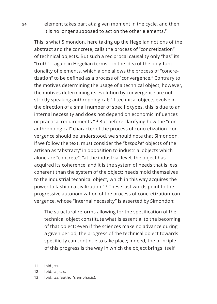**54** element takes part at a given moment in the cycle, and then it is no longer supposed to act on the other elements.<sup>11</sup>

This is what Simondon, here taking up the Hegelian notions of the abstract and the concrete, calls the process of "concretization" of technical objects. But such a reciprocal causality only "has" its "truth"—again in Hegelian terms—in the idea of the poly-functionality of elements, which alone allows the process of "concretization" to be defined as a process of "convergence." Contrary to the motives determining the usage of a technical object, however, the motives determining its evolution by convergence are not strictly speaking anthropological: "if technical objects evolve in the direction of a small number of specific types, this is due to an internal necessity and does not depend on economic influences or practical requirements."12 But before clarifying how the "nonanthropological" character of the process of concretization–convergence should be understood, we should note that Simondon, if we follow the text, must consider the "*bespoke*" objects of the artisan as "abstract," in opposition to industrial objects which alone are "concrete": "at the industrial level, the object has acquired its coherence, and it is the system of needs that is less coherent than the system of the object; needs mold themselves to the industrial technical object, which in this way acquires the power to fashion a civilization."13 These last words point to the progressive autonomization of the process of concretization-convergence, whose "internal necessity" is asserted by Simondon:

The structural reforms allowing for the specification of the technical object constitute what is essential to the becoming of that object; even if the sciences make no advance during a given period, the progress of the technical object towards specificity can continue to take place; indeed, the principle of this progress is the way in which the object brings itself

- 12 Ibid., 23–24.
- 13 Ibid., 24 (author's emphasis).

<sup>11</sup> Ibid., 21.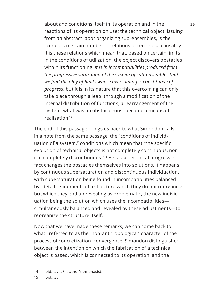about and conditions itself in its operation and in the **55** reactions of its operation on use; the technical object, issuing from an abstract labor organizing sub-ensembles, is the scene of a certain number of relations of reciprocal causality. It is these relations which mean that, based on certain limits in the conditions of utilization, the object discovers obstacles within its functioning: *it is in incompatibilities produced from the progressive saturation of the system of sub-ensembles that we find the play of limits whose overcoming is constitutive of progress*; but it is in its nature that this overcoming can only take place through a leap, through a modification of the internal distribution of functions, a rearrangement of their system; what was an obstacle must become a means of realization.14

The end of this passage brings us back to what Simondon calls, in a note from the same passage, the "conditions of individuation of a system," conditions which mean that "the specific evolution of technical objects is not completely continuous, nor is it completely discontinuous."<sup>15</sup> Because technical progress in fact changes the obstacles themselves into solutions, it happens by continuous supersaturation and discontinuous individuation, with supersaturation being found in incompatibilities balanced by "detail refinement" of a structure which they do not reorganize but which they end up revealing as problematic, the new individuation being the solution which uses the incompatibilities simultaneously balanced and revealed by these adjustments—to reorganize the structure itself.

Now that we have made these remarks, we can come back to what I referred to as the "non-anthropological" character of the process of concretization–convergence. Simondon distinguished between the intention on which the fabrication of a technical object is based, which is connected to its operation, and the

15 Ibid., 27.

<sup>14</sup> Ibid., 27–28 (author's emphasis).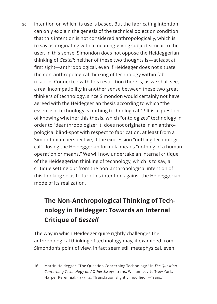**56** intention on which its use is based. But the fabricating intention can only explain the genesis of the technical object on condition that this intention is not considered anthropologically, which is to say as originating with a meaning-giving subject similar to the user. In this sense, Simondon does not oppose the Heideggerian thinking of *Gestell*: neither of these two thoughts is—at least at first sight—anthropological, even if Heidegger does not situate the non-anthropological thinking of technology within fabrication. Connected with this restriction there is, as we shall see, a real incompatibility in another sense between these two great thinkers of technology, since Simondon would certainly not have agreed with the Heideggerian thesis according to which "the essence of technology is nothing technological."<sup>16</sup> It is a question of knowing whether this thesis, which "ontologizes" technology in order to "deanthropologize" it, does not originate in an anthropological blind-spot with respect to fabrication, at least from a Simondonian perspective, if the expression "nothing technological" closing the Heideggerian formula means "nothing of a human operation or means." We will now undertake an internal critique of the Heideggerian thinking of technology, which is to say, a critique setting out from the non-anthropological intention of this thinking so as to turn this intention against the Heideggerian mode of its realization.

## **The Non-Anthropological Thinking of Technology in Heidegger: Towards an Internal Critique of** *Gestell*

The way in which Heidegger quite rightly challenges the anthropological thinking of technology may, if examined from Simondon's point of view, in fact seem still metaphysical, even

16 Martin Heidegger, "The Question Concerning Technology," in *The Question Concerning Technology and Other Essays*, trans. William Lovitt (New York: Harper Perennial, 1977), 4. [Translation slightly modified. —Trans.]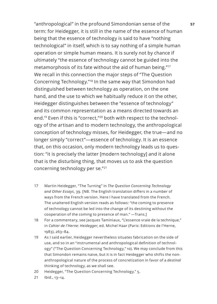"anthropological" in the profound Simondonian sense of the **57** term: for Heidegger, it is still in the name of the essence of human being that the essence of technology is said to have "nothing technological" in itself, which is to say nothing of a simple human operation or simple human means. It is surely not by chance if ultimately "the essence of technology cannot be guided into the metamorphosis of its fate without the aid of human being."<sup>17</sup> We recall in this connection the major steps of "The Question Concerning Technology."<sup>18</sup> In the same way that Simondon had distinguished between technology as operation, on the one hand, and the use to which we habitually reduce it on the other, Heidegger distinguishes between the "essence of technology" and its common representation as a means directed towards an end.<sup>19</sup> Even if this is "correct,"<sup>20</sup> both with respect to the technology of the artisan and to modern technology, the anthropological conception of technology misses, for Heidegger, the true—and no longer simply "correct"—essence of technology. It is an essence that, on this occasion, only modern technology leads us to question: "it is precisely the latter [modern technology] and it alone that is the disturbing thing, that moves us to ask the question concerning technology per se."<sup>21</sup>

- 17 Martin Heidegger, "The Turning" in *The Question Concerning Technology and Other Essays*, 39. [NB. The English translation differs in a number of ways from the French version. Here I have translated from the French. The unaltered English version reads as follows: "the coming to presence of technology cannot be led into the change of its destining without the cooperation of the coming to presence of man." —Trans.]
- 18 For a commentary, see Jacques Taminiaux, "L'essence vraie de la technique," in *Cahier de l'Herne: Heidegger*, ed. Michel Haar (Paris: Editions de l'Herne, 1983), 263–84.
- 19 As I said earlier, Heidegger nevertheless situates fabrication on the side of use, and so in an "instrumental and anthropological definition of technology" ("The Question Concerning Technology," 10). We may conclude from this that Simondon remains naive, but it is in fact Heidegger who shifts the nonanthropological nature of the process of concretization in favor of a *destinal*  thinking of technology, as we shall see.
- 20 Heidegger, "The Question Concerning Technology," 5.
- 21 Ibid., 13–14.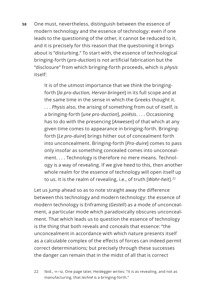**58** One must, nevertheless, distinguish between the essence of modern technology and the essence of technology: even if one leads to the questioning of the other, it cannot be reduced to it, and it is precisely for this reason that the questioning it brings about is "disturbing." To start with, the essence of technological bringing-forth (*pro-duction*) is not artificial fabrication but the "disclosure" from which bringing-forth proceeds, which is *physis* itself:

> It is of the utmost importance that we think the bringingforth [*la pro-duction, Hervor-bringen*] in its full scope and at the same time in the sense in which the Greeks thought it. . . . *Physis* also, the arising of something from out of itself, is a bringing-forth [*une pro-duction*], *poiēsis*. . . . Occasioning has to do with the presencing [*Anwesen*] of that which at any given time comes to appearance in bringing-forth. Bringingforth [*Le pro-duire*] brings hither out of concealment forth into unconcealment. Bringing-forth [*Pro-duire*] comes to pass only insofar as something concealed comes into unconcealment. . . . Technology is therefore no mere means. Technology is a way of revealing. If we give heed to this, then another whole realm for the essence of technology will open itself up to us. It is the realm of revealing, i.e., of truth [Wahr-heit].<sup>22</sup>

Let us jump ahead so as to note straight away the difference between this technology and modern technology: the essence of modern technology is Enframing (*Gestell*) as a mode of unconcealment, a particular mode which paradoxically obscures unconcealment. That which leads us to question the essence of technology is the thing that both reveals and conceals that essence: "the unconcealment in accordance with which nature presents itself as a calculable complex of the effects of forces can indeed permit correct determinations; but precisely through these successes the danger can remain that in the midst of all that is correct

22 Ibid., 11–12. One page later, Heidegger writes: "It is as revealing, and not as manufacturing, that *technē* is a bringing-forth."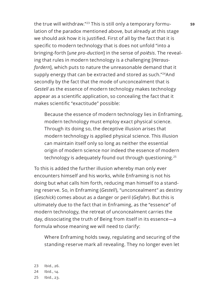the true will withdraw."<sup>23</sup> This is still only a temporary formulation of the paradox mentioned above, but already at this stage we should ask how it is justified. First of all by the fact that it is specific to modern technology that is does not unfold "into a bringing-forth [*une pro-duction*] in the sense of *poiēsis*. The revealing that rules in modern technology is a challenging [*Herausfordern*], which puts to nature the unreasonable demand that it supply energy that can be extracted and stored as such."24And secondly by the fact that the mode of unconcealment that is *Gestell* as the essence of modern technology makes technology appear as a scientific application, so concealing the fact that it makes scientific "exactitude" possible:

Because the essence of modern technology lies in Enframing, modern technology must employ exact physical science. Through its doing so, the deceptive illusion arises that modern technology is applied physical science. This illusion can maintain itself only so long as neither the essential origin of modern science nor indeed the essence of modern technology is adequately found out through questioning.<sup>25</sup>

To this is added the further illusion whereby man only ever encounters himself and his works, while Enframing is not his doing but what calls him forth, reducing man himself to a standing reserve. So, in Enframing (*Gestell*), "unconcealment" as destiny (*Geschick*) comes about as a danger or peril (*Gefahr*). But this is ultimately due to the fact that in Enframing, as the "essence" of modern technology, the retreat of unconcealment carries the day, dissociating the truth of Being from itself in its essence—a formula whose meaning we will need to clarify:

Where Enframing holds sway, regulating and securing of the standing-reserve mark all revealing. They no longer even let

23 Ibid., 26. 24 Ibid., 14. 25 Ibid., 23.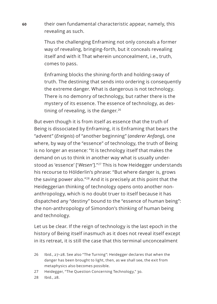**60** their own fundamental characteristic appear, namely, this revealing as such.

> Thus the challenging Enframing not only conceals a former way of revealing, bringing-forth, but it conceals revealing itself and with it That wherein unconcealment, i.e., truth, comes to pass.

Enframing blocks the shining-forth and holding-sway of truth. The destining that sends into ordering is consequently the extreme danger. What is dangerous is not technology. There is no demonry of technology, but rather there is the mystery of its essence. The essence of technology, as destining of revealing, is the danger.<sup>26</sup>

But even though it is from itself as essence that the truth of Being is dissociated by Enframing, it is Enframing that bears the "advent" (*Ereignis*) of "another beginning" (*anderer Anfang*), one where, by way of the "essence" of technology, the truth of Being is no longer an essence: "It is technology itself that makes the demand on us to think in another way what is usually understood as 'essence' ['*Wesen'*]."<sup>27</sup> This is how Heidegger understands his recourse to Hölderlin's phrase: "But where danger is, grows the saving power also."28 And it is precisely at this point that the Heideggerian thinking of technology opens onto another nonanthropology, which is no doubt truer to itself because it has dispatched any "destiny" bound to the "essence of human being": the non-anthropology of Simondon's thinking of human being and technology.

Let us be clear. If the reign of technology is the last epoch in the history of Being itself inasmuch as it does not reveal itself except in its retreat, it is still the case that this terminal unconcealment

28 Ibid., 28.

<sup>26</sup> Ibid., 27–28. See also "The Turning": Heidegger declares that when the danger has been brought to light, then, as we shall see, the exit from metaphysics also becomes possible.

<sup>27</sup> Heidegger, "The Question Concerning Technology," 30.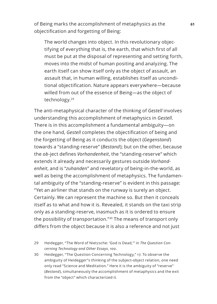of Being marks the accomplishment of metaphysics as the **61** objectification and forgetting of Being:

The world changes into object. In this revolutionary objectifying of everything that is, the earth, that which first of all must be put at the disposal of representing and setting forth, moves into the midst of human positing and analyzing. The earth itself can show itself only as the object of assault, an assault that, in human willing, establishes itself as unconditional objectification. Nature appears everywhere—because willed from out of the essence of Being—as the object of technology.<sup>29</sup>

The anti-metaphysical character of the thinking of *Gestell* involves understanding this accomplishment of metaphysics in *Gestell*. There is in this accomplishment a fundamental ambiguity—on the one hand, *Gestell* completes the objectification of being and the forgetting of Being as it conducts the object (*Gegenstand*) towards a "standing-reserve" (*Bestand*); but on the other, because the *ob*-ject defines *Vorhandenheit*, the "standing-reserve" which extends it already and necessarily gestures outside *Vorhandenheit*, and is "*zuhanden*" and revelatory of being-in-the-world, as well as being the accomplishment of metaphysics. The fundamental ambiguity of the "standing-reserve" is evident in this passage: "Yet an airliner that stands on the runway is surely an object. Certainly. We can represent the machine so. But then it conceals itself as to what and how it is. Revealed, it stands on the taxi strip only as a standing-reserve, inasmuch as it is ordered to ensure the possibility of transportation."<sup>30</sup> The means of transport only differs from the object because it is also a reference and not just

- 29 Heidegger, "The Word of Nietzsche: 'God is Dead,'" in *The Question Concerning Technology and Other Essays*, 100.
- 30 Heidegger, "The Question Concerning Technology," 17. To observe the ambiguity of Heidegger"s thinking of the subject-object relation, one need only read "Science and Meditation." Here it is the ambiguity of "reserve" (*Bestand*), simultaneously the accomplishment of metaphysics and the exit from the "object" which characterized it.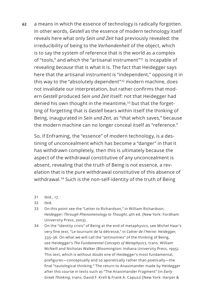**62** a means in which the essence of technology is radically forgotten. In other words, *Gestell* as the essence of modern technology itself reveals here what only *Sein und Zeit* had previously revealed: the irreducibility of being to the *Vorhandenheit* of the object, which is to say the system of reference that is the world as a complex of "tools," and which the "artisanal instrument"<sup>31</sup> is incapable of revealing *because* that is what it is. The fact that Heidegger says here that the artisanal instrument is "independent," opposing it in this way to the "absolutely dependent"<sup>32</sup> modern machine, does not invalidate our interpretation, but rather confirms that modern *Gestell* produced *Sein und Zeit* itself: not that Heidegger had denied his own thought in the meantime,<sup>33</sup> but that the forgetting of forgetting that is *Gestell* bears within itself the thinking of Being, inaugurated in *Sein und Zeit*, as "that which saves," because the modern machine can no longer conceal itself as "reference."

So, if Enframing, the "essence" of modern technology, is a destining of unconcealment which has become a "danger" in that it has withdrawn completely, then this is ultimately because the aspect of the withdrawal constitutive of any unconcealment is absent, revealing that the truth of Being is not essence, a revelation that is the pure withdrawal constitutive of this absence of withdrawal.<sup>34</sup> Such is the non-self-identity of the truth of Being

- 31 Ibid., 17.
- 32 Ibid.
- 33 On this point see the "Letter to Richardson," in William Richardson, *Heidegger: Through Phenomenology to Thought*, 4th ed. (New York: Fordham University Press, 2003).
- 34 On the "identity crisis" of Being at the end of metaphysics, see Michel Haar's very fine text, "Le tournant de la détresse," in *Cahier de l'Herne: Heidegger*, 335–36. On what we will call the "antinomies" of the thinking of Being, see Heidegger's *The Fundamental Concepts of Metaphysics*, trans. William McNeill and Nicholas Walker (Bloomington: Indiana University Press, 1995). This text, which is without doubt one of Heidegger's most fundamental, prefigures—conceptually and so aporetically rather than poetically—the final "tautological thinking." The return to Anaximander made by Heidegger after this course in texts such as "The Anaximander Fragment" (in *Early Greek Thinking*, trans. David F. Krell & Frank A. Capuzzi [New York: Harper &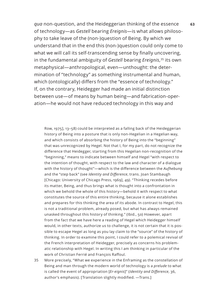*qua* non-question, and the Heideggerian thinking of the essence **63** of technology—as *Gestell* bearing *Ereignis*—is what allows philosophy to take leave of the (non-)question of Being. By which we understand that in the end this (non-)question could only come to what we will call its self-transcending sense by finally uncovering, in the fundamental ambiguity of *Gestell* bearing *Ereignis*, <sup>35</sup> its own metaphysical—anthropological, even—unthought: the determination of "technology" as something instrumental and human, which (ontologically) differs from the "essence of technology." If, on the contrary, Heidegger had made an initial distinction between use—of means by human being—and fabrication-operation—he would not have reduced technology in this way and

Row, 1975], 13–58) could be interpreted as a falling back of the Heideggerian history of Being into a posture that is only non-Hegelian in a Hegelian way, and which consists of absorbing the history of Being into the "beginning" that was unrecognized by Hegel. Not that I, for my part, do not recognize the difference that Heidegger, starting from this Hegelian non-recognition of the "beginning," means to indicate between himself and Hegel "with respect to the intention of thought, with respect to the law and character of a dialogue with the history of thought"—which is the difference between the *Aufhebung* and the "step back" (see *Identity and Difference*, trans. Joan Stambaugh [Chicago: University of Chicago Press, 1969], 49). "Thinking recedes before its matter, Being, and thus brings what is thought into a confrontation in which we behold the whole of this history—behold it with respect to what constitutes the source of this entire thinking, because it alone establishes and prepares for this thinking the area of its abode. In contrast to Hegel, this is not a traditional problem, already posed, but what has always remained unasked throughout this history of thinking." (Ibid., 50) However, apart from the fact that we have here a reading of Hegel which Heidegger himself would, in other texts, authorize us to challenge, it is not certain that it is possible to escape Hegel as long as you lay claim to the "source" of the history of thinking. In order to examine this point, I could refer to a polemical revival of the French interpretation of Heidegger, precisely as concerns his problematic relationship with Hegel. In writing this I am thinking in particular of the work of Christian Ferrié and François Raffoul.

35 More precisely, "What we experience in the Enframing as the constellation of Being and man through the modern world of technology is a *prelude* to what is called the event of appropriation [*Er-eignis*]" (*Identity and Difference*, 36, author's emphasis). [Translation slightly modified. —Trans.]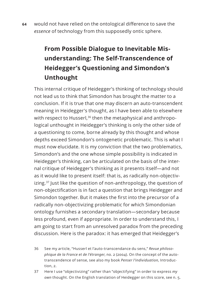**64** would not have relied on the ontological difference to save the *essence* of technology from this supposedly ontic sphere.

## **From Possible Dialogue to Inevitable Misunderstanding: The Self-Transcendence of Heidegger's Questioning and Simondon's Unthought**

This internal critique of Heidegger's thinking of technology should not lead us to think that Simondon has brought the matter to a conclusion. If it is true that one may discern an auto-transcendent meaning in Heidegger's thought, as I have been able to elsewhere with respect to Husserl,<sup>36</sup> then the metaphysical and anthropological unthought in Heidegger's thinking is only the other side of a questioning to come, borne already by this thought and whose depths exceed Simondon's ontogenetic problematic. This is what I must now elucidate. It is my conviction that the two problematics, Simondon's and the one whose simple possibility is indicated in Heidegger's thinking, can be articulated on the basis of the internal critique of Heidegger's thinking as it presents itself—and not as it would like to present itself: that is, as radically non-objectivizing.<sup>37</sup> Just like the question of non-anthropology, the question of non-objectification is in fact a question that brings Heidegger and Simondon together. But it makes the first into the precursor of a radically non-objectivizing problematic for which Simondonian ontology furnishes a secondary translation—secondary because less profound, even if appropriate. In order to understand this, I am going to start from an unresolved paradox from the preceding discussion. Here is the paradox: it has emerged that Heidegger's

36 See my article, "Husserl et l'auto-transcendance du sens," *Revue philosophique de la France et de l'étranger*, no. 2 (2004). On the concept of the autotranscendence of sense, see also my book *Penser l'individuation,* Introduction, 2.

37 Here I use "objectivizing" rather than "objectifying" in order to express *my own* thought. On the English translation of Heidegger on this score, see n. 5.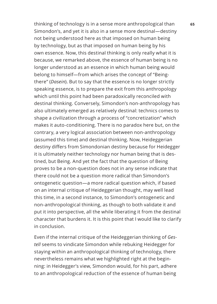thinking of technology is in a sense more anthropological than **65** Simondon's, and yet it is also in a sense more destinal—destiny not being understood here as that imposed on human being by technology, but as that imposed on human being by his own essence. Now, this destinal thinking is only really what it is because, we remarked above, the essence of human being is no longer understood as an essence in which human being would belong to himself—from which arises the concept of "Beingthere" (*Dasein*). But to say that the essence is no longer strictly speaking essence, is to prepare the exit from this anthropology which until this point had been paradoxically reconciled with destinal thinking. Conversely, Simondon's non-anthropology has also ultimately emerged as relatively destinal: technics comes to shape a civilization through a process of "concretization" which makes it auto-conditioning. There is no paradox here but, on the contrary, a very logical association between non-anthropology (assumed this time) and destinal thinking. Now, Heideggerian destiny differs from Simondonian destiny because for Heidegger it is ultimately neither technology nor human being that is destined, but Being. And yet the fact that the question of Being proves to be a non-question does not in any sense indicate that there could not be a question more radical than Simondon's ontogenetic question—a more radical question which, if based on an internal critique of Heideggerian thought, may well lead this time, in a second instance, to Simondon's ontogenetic and non-anthropological thinking, as though to both validate it and put it into perspective, all the while liberating it from the destinal character that burdens it. It is this point that I would like to clarify in conclusion.

Even if the internal critique of the Heideggerian thinking of *Gestell* seems to vindicate Simondon while rebuking Heidegger for staying within an anthropological thinking of technology, there nevertheless remains what we highlighted right at the beginning: in Heidegger's view, Simondon would, for his part, adhere to an anthropological reduction of the essence of human being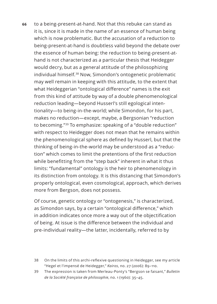**66** to a being-present-at-hand. Not that this rebuke can stand as it is, since it is made in the name of an essence of human being which is now problematic. But the accusation of a reduction to being-present-at-hand is doubtless valid beyond the debate over the essence of human being: the reduction to being-present-athand is not characterized as a particular thesis that Heidegger would decry, but as a general attitude of the philosophizing individual himself.38 Now, Simondon's ontogenetic problematic may well remain in keeping with this attitude, to the extent that what Heideggerian "ontological difference" names is the exit from this kind of attitude by way of a double phenomenological reduction leading—beyond Husserl's still egological intentionality—to being-in-the-world; while Simondon, for his part, makes no reduction—except, maybe, a Bergsonian "reduction to becoming."39 To emphasize: speaking of a "double reduction" with respect to Heidegger does not mean that he remains within the phenomenological sphere as defined by Husserl, but that the thinking of being-in-the-world may be understood as a "reduction" which comes to limit the pretentions of the first reduction while benefitting from the "step back" inherent in what it thus limits: "fundamental" ontology is the heir to phenomenology in its distinction from ontology. It is this distancing that Simondon's properly ontological, even cosmological, approach, which derives more from Bergson, does not possess.

Of course, genetic ontology or "ontogenesis," is characterized, as Simondon says, by a certain "ontological difference," which in addition indicates once more a way out of the objectification of being. At issue is the difference between the individual and pre-individual reality—the latter, incidentally, referred to by

- 38 On the limits of this archi-reflexive questioning in Heidegger, see my article "Hegel et l'impensé de Heidegger," *Kairos*, no. 27 (2006): 89–110.
- 39 The expression is taken from Merleau-Ponty's "Bergson se faisant," *Bulletin de la Société française de philosophie*, no. 1 (1960): 35–45.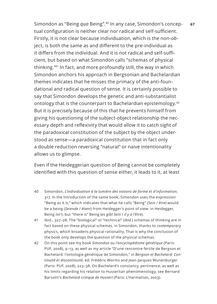Simondon as "Being *qua* Being".<sup>40</sup> In any case, Simondon's concep- 67 tual configuration is neither clear nor radical and self-sufficient. Firstly, it is not clear because individuation, which is the non*-ob*ject, is both the same as and different to the pre-individual as it differs from the individual. And it is not radical and self-sufficient, but based on what Simondon calls "schemas of physical thinking."<sup>41</sup> In fact, and more profoundly still, the way in which Simondon anchors his approach in Bergsonian and Bachelardian themes indicates that he misses the primacy of the anti-foundational and radical question of sense. It is certainly possible to say that Simondon develops the genetic and anti-substantialist ontology that is the counterpart to Bachelardian epistemology.<sup>42</sup> But it is precisely because of this that he prevents himself from giving his questioning of the subject-object relationship the necessary depth and reflexivity that would allow it to catch sight of the paradoxical constitution of the subject by the object understood as sense—a paradoxical constitution that in fact only a double reduction reversing "natural" or naive intentionality allows us to glimpse.

Even if the Heideggerian question of Being cannot be completely identified with this question of sense either, it leads to it, at least

- 40 Simondon, *L'individuation à la lumière des notions de forme et d'information*, 317. In the Introduction of the same book, Simondon uses the expression "Being as it *is*," which indicates that what he calls "Being" (*Sein* / *être*) would be a being (*Seiende* / *étant*) from Heidegger's point of view: in Heidegger, Being *isn't*, but "there is" Being (*es gibt Sein* / *il y a l'être*).
- 41 Ibid., 327–28. The "biological" or "technical" (*ibid*.) schemas of thinking are in fact based on these physical schemas, in Simondon, thanks to *contemporary* physics, which broadens physical rationality. That is why the conclusion of the book only develops the question of the physical schemas.
- 42 On this point see my book *Simondon ou l'encyclopédisme génétique* (Paris: PUF, 2008), 9–13, as well as my article "D'une rencontre fertile de Bergson et Bachelard: l'ontologie génétique de Simondon," in *Bergson et Bachelard: Continuité et discontinuité*, ed. Frédéric Worms and Jean-Jacques Wunenburger (Paris: PUF, 2008), 223–38. On Bachelard's constancy, pertinence, as well as his limits regarding his relation to Husserlian phenomenology, see Bernard Barsotti's *Bachelard critique de Husserl* (Paris: L'Harmattan, 2003).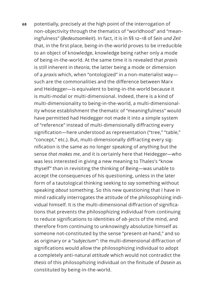**68** potentially, precisely at the high point of the interrogation of non-objectivity through the thematics of "worldhood" and "meaningfulness" (*Bedeutsamkeit*). In fact, it is in §§ 12–18 of *Sein und Zeit* that, in the first place, being-in-the-world proves to be irreducible to an object of knowledge, knowledge being rather only a mode of being-in-the-world. At the same time it is revealed that *praxis*  is still inherent in *theoria*, the latter being a mode or dimension of a *praxis* which, when "ontologized" in a non-materialist way such are the commonalities and the difference between Marx and Heidegger—is equivalent to being-in-the-world because it is multi-modal or multi-dimensional. Indeed, there is a kind of multi-dimensionality to being-in-the-world, a multi-dimensionality whose establishment the thematic of "meaningfulness" would have permitted had Heidegger not made it into a simple system of "reference" instead of multi-dimensionally diffracting every signification—here understood as representation ("tree," "table," "concept," etc.). But, multi-dimensionally diffracting every signification is the same as no longer speaking of anything but the sense *that makes me*, and it is certainly here that Heidegger—who was less interested in giving a new meaning to Thales's "know thyself" than in revisiting the thinking of Being—was unable to accept the consequences of his questioning, unless in the later form of a tautological thinking seeking to *say* something without speaking *about* something. So this new questioning that I have in mind radically interrogates the attitude of the philosophizing individual himself. It is the multi-dimensional diffraction of significations that prevents the philosophizing individual from continuing to reduce significations to identities of *ob*-jects of the mind, and therefore from continuing to unknowingly absolutize himself as someone not-constituted by the sense "present-at-hand," and so as originary or a "*subjectum*": the multi-dimensional diffraction of significations would allow the philosophizing individual to adopt a completely anti-natural *attitude* which would not contradict the *thesis* of this philosophizing individual on the finitude of *Dasein* as constituted by being-in-the-world.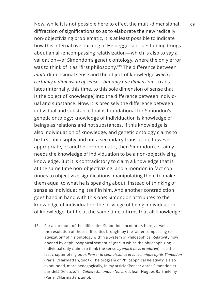Now, while it is not possible here to effect the multi-dimensional **69** diffraction of significations so as to elaborate the new radically non-objectivizing problematic, it is at least possible to indicate how this internal overturning of Heideggerian questioning brings about an all-encompassing relativization—which is also to say a validation—of Simondon's genetic ontology, where the only error was to think of it as "first philosophy."<sup>43</sup> The difference between *multi*-dimensional sense and the object of knowledge *which is certainly a dimension of sense*—*but only one dimension*—translates (internally, this time, to this sole dimension of sense that is the object of knowledge) into the difference between individual and substance. Now, it is precisely the difference between individual and substance that is foundational for Simondon's genetic ontology: knowledge of individuation is knowledge of beings as relations and not substances. If this knowledge is also individuation of knowledge, and genetic ontology claims to be first philosophy and not a secondary translation, however appropriate, of another problematic, then Simondon certainly needs the knowledge of individuation to be a non-objectivizing knowledge. But it is contradictory to claim a knowledge that is at the same time non-objectivizing, and Simondon in fact continues to objectivize significations, manipulating them to make them equal to what he is speaking about, instead of thinking of sense as individuating itself in him. And another contradiction goes hand in hand with this one: Simondon attributes to the knowledge of individuation the privilege of being individuation of knowledge, but he at the same time affirms that all knowledge

43 For an account of the difficulties Simondon encounters here, as well as the resolution of these difficulties brought by the "all-encompassing relativization" of his ontology within a System of Philosophical Relativity now opened by a "philosophical semantic" (one in which the philosophizing individual only claims to think the sense *by which he is produced*), see the last chapter of my book *Penser la connaissance et la technique après Simondon* (Paris: L'Harmattan, 2005). The program of Philosophical Relativity is also expounded, more pedagogically, in my article "Penser après Simondon et par-delà Deleuze," in *Cahiers Simondon No. 2*, ed. Jean-Hugues Barthélémy (Paris: L'Harmattan, 2010).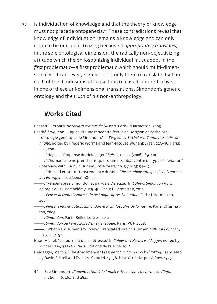**70** is individuation of knowledge and that the theory of knowledge must not precede ontogenesis.44 These contradictions reveal that knowledge of individuation remains a knowledge and can only claim to be non-objectivizing because it *appropriately translates*, in the sole ontological dimension, the radically non-objectivizing attitude which the philosophizing individual must adopt in the *first* problematic—a first problematic which should multi-dimensionally diffract every signification, only then to translate itself in each of the dimensions of sense thus released, and rediscover, in one of these uni-dimensional translations, Simondon's genetic ontology and the truth of his non-anthropology.

#### **Works Cited**

Barsotti, Bernard. *Bachelard critique de Husserl*. Paris: L'Harmattan, 2003.

Barthélémy, Jean-Hugues. "D'une rencontre fertile de Bergson et Bachelard: l'ontologie génétique de Simondon." In *Bergson et Bachelard: Continuité et discontinuité*, edited by Frédéric Worms and Jean-Jacques Wunenburger, 223–38. Paris: PUF, 2008.

———. "Hegel et l'impensé de Heidegger." *Kairos*, no. 27 (2006): 89–110.

———. "L'humanisme ne prend sens que comme combat contre un type d'aliénation" (interview with Ludovic Duhem), *Tête-à-tête*, no. 5 (2013): 54–67.

———. "Husserl et l'auto-transcendance du sens." *Revue philosophique de la France et de l'étranger*, no. 2 (2004): 181–97.

———. "Penser après Simondon et par-delà Deleuze." In *Cahiers Simondon No. 2*,

edited by J.-H. Barthélémy, 129–46. Paris: L'Harmattan, 2010.

- ———. *Penser la connaissance et la technique après Simondon*. Paris: L'Harmattan, 2005.
- ———. *Penser l'individuation: Simondon et la philosophie de la nature*. Paris: L'Harmattan, 2005.
- ———. *Simondon*. Paris: Belles Lettres, 2014.

———. *Simondon ou l'encyclopédisme génétique*. Paris: PUF, 2008.

- ———. "What New Humanism Today?" Translated by Chris Turner. *Cultural Politics* 6, no. 2: 237–52.
- Haar, Michel. "Le tournant de la détresse." In *Cahier de l'Herne: Heidegger*, edited by Michel Haar, 335–36. Paris: Editions de l'Herne, 1983.
- Heidegger, Martin. "The Anaximander Fragment." In *Early Greek Thinking*. Translated by David F. Krell and Frank A. Capuzzi, 13–58. New York: Harper & Row, 1975.
- 44 See Simondon, *L'individuation à la lumière des notions de forme et d'information*, 36, 264 and 284.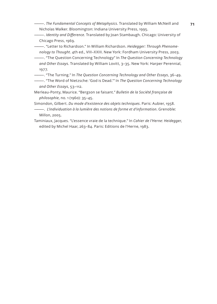———. *The Fundamental Concepts of Metaphysics*. Translated by William McNeill and **71** Nicholas Walker. Bloomington: Indiana University Press, 1995.

———. *Identity and Difference*. Translated by Joan Stambaugh. Chicago: University of Chicago Press, 1969.

———. "Letter to Richardson." In William Richardson. *Heidegger: Through Phenomenology to Thought*. 4th ed., VIII–XXIII. New York: Fordham University Press, 2003.

- ———. "The Question Concerning Technology" In *The Question Concerning Technology and Other Essays*. Translated by William Lovitt, 3–35. New York: Harper Perennial, 1977.
- ———. "The Turning." In *The Question Concerning Technology and Other Essays*, 36–49.
- ———. "The Word of Nietzsche: 'God is Dead.'" In *The Question Concerning Technology and Other Essays*, 53–112.
- Merleau-Ponty, Maurice. "Bergson se faisant." *Bulletin de la Société française de philosophie*, no. 1 (1960): 35–45.

Simondon, Gilbert. *Du mode d'existence des objets techniques*. Paris: Aubier, 1958.

- ———. *L'individuation à la lumière des notions de forme et d'information*. Grenoble: Millon, 2005.
- Taminiaux, Jacques. "L'essence vraie de la technique." In *Cahier de l'Herne: Heidegger*, edited by Michel Haar, 263–84. Paris: Editions de l'Herne, 1983.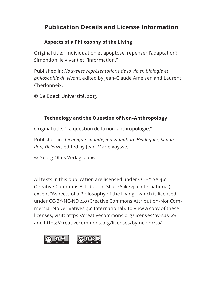## **Publication Details and License Information**

## **Aspects of a Philosophy of the Living**

Original title: "Individuation et apoptose: repenser l'adaptation? Simondon, le vivant et l'information."

Published in: *Nouvelles représentations de la vie en biologie et philosophie du vivant*, edited by Jean-Claude Ameisen and Laurent Cherlonneix.

© De Boeck Université, 2013

## **Technology and the Question of Non-Anthropology**

Original title: "La question de la non-anthropologie."

Published in: *Technique, monde, individuation: Heidegger, Simondon, Deleuze*, edited by Jean-Marie Vaysse.

© Georg Olms Verlag, 2006

All texts in this publication are licensed under CC-BY-SA 4.0 (Creative Commons Attribution-ShareAlike 4.0 International), except "Aspects of a Philosophy of the Living," which is licensed under CC-BY-NC-ND 4.0 (Creative Commons Attribution-NonCommercial-NoDerivatives 4.0 International). To view a copy of these licenses, visit: https://creativecommons.org/licenses/by-sa/4.0/ and https://creativecommons.org/licenses/by-nc-nd/4.0/.